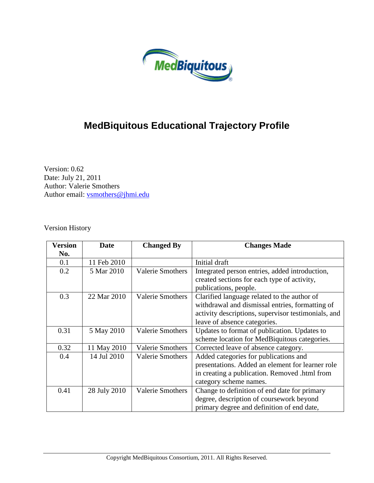

# **MedBiquitous Educational Trajectory Profile**

Version: 0.62 Date: July 21, 2011 Author: Valerie Smothers Author email: [vsmothers@jhmi.edu](mailto:vsmothers@jhmi.edu)

Version History

| Version | <b>Date</b>  | <b>Changed By</b>       | <b>Changes Made</b>                                 |  |
|---------|--------------|-------------------------|-----------------------------------------------------|--|
| No.     |              |                         |                                                     |  |
| 0.1     | 11 Feb 2010  |                         | Initial draft                                       |  |
| 0.2     | 5 Mar 2010   | <b>Valerie Smothers</b> | Integrated person entries, added introduction,      |  |
|         |              |                         | created sections for each type of activity,         |  |
|         |              |                         | publications, people.                               |  |
| 0.3     | 22 Mar 2010  | <b>Valerie Smothers</b> | Clarified language related to the author of         |  |
|         |              |                         | withdrawal and dismissal entries, formatting of     |  |
|         |              |                         | activity descriptions, supervisor testimonials, and |  |
|         |              |                         | leave of absence categories.                        |  |
| 0.31    | 5 May 2010   | <b>Valerie Smothers</b> | Updates to format of publication. Updates to        |  |
|         |              |                         | scheme location for MedBiquitous categories.        |  |
| 0.32    | 11 May 2010  | <b>Valerie Smothers</b> | Corrected leave of absence category.                |  |
| 0.4     | 14 Jul 2010  | <b>Valerie Smothers</b> | Added categories for publications and               |  |
|         |              |                         | presentations. Added an element for learner role    |  |
|         |              |                         | in creating a publication. Removed .html from       |  |
|         |              |                         | category scheme names.                              |  |
| 0.41    | 28 July 2010 | <b>Valerie Smothers</b> | Change to definition of end date for primary        |  |
|         |              |                         | degree, description of coursework beyond            |  |
|         |              |                         | primary degree and definition of end date,          |  |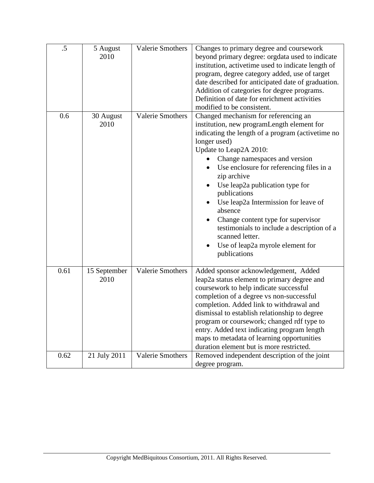| $\overline{.5}$ | 5 August<br>2010     | <b>Valerie Smothers</b> | Changes to primary degree and coursework<br>beyond primary degree: orgdata used to indicate<br>institution, active time used to indicate length of<br>program, degree category added, use of target<br>date described for anticipated date of graduation.<br>Addition of categories for degree programs.<br>Definition of date for enrichment activities<br>modified to be consistent.                                                                                                                                                          |
|-----------------|----------------------|-------------------------|-------------------------------------------------------------------------------------------------------------------------------------------------------------------------------------------------------------------------------------------------------------------------------------------------------------------------------------------------------------------------------------------------------------------------------------------------------------------------------------------------------------------------------------------------|
| 0.6             | 30 August<br>2010    | <b>Valerie Smothers</b> | Changed mechanism for referencing an<br>institution, new programLength element for<br>indicating the length of a program (active time no<br>longer used)<br>Update to Leap2A 2010:<br>Change namespaces and version<br>Use enclosure for referencing files in a<br>zip archive<br>Use leap2a publication type for<br>publications<br>Use leap2a Intermission for leave of<br>absence<br>Change content type for supervisor<br>testimonials to include a description of a<br>scanned letter.<br>Use of leap2a myrole element for<br>publications |
| 0.61            | 15 September<br>2010 | <b>Valerie Smothers</b> | Added sponsor acknowledgement, Added<br>leap2a status element to primary degree and<br>coursework to help indicate successful<br>completion of a degree vs non-successful<br>completion. Added link to withdrawal and<br>dismissal to establish relationship to degree<br>program or coursework; changed rdf type to<br>entry. Added text indicating program length<br>maps to metadata of learning opportunities<br>duration element but is more restricted.                                                                                   |
| 0.62            | 21 July 2011         | <b>Valerie Smothers</b> | Removed independent description of the joint<br>degree program.                                                                                                                                                                                                                                                                                                                                                                                                                                                                                 |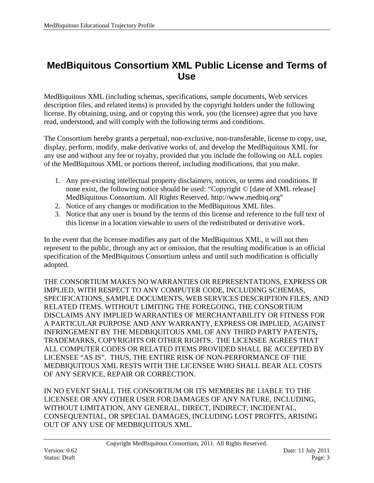### <span id="page-2-0"></span>**MedBiquitous Consortium XML Public License and Terms of Use**

MedBiquitous XML (including schemas, specifications, sample documents, Web services description files, and related items) is provided by the copyright holders under the following license. By obtaining, using, and or copying this work, you (the licensee) agree that you have read, understood, and will comply with the following terms and conditions.

The Consortium hereby grants a perpetual, non-exclusive, non-transferable, license to copy, use, display, perform, modify, make derivative works of, and develop the MedBiquitous XML for any use and without any fee or royalty, provided that you include the following on ALL copies of the MedBiquitous XML or portions thereof, including modifications, that you make.

- 1. Any pre-existing intellectual property disclaimers, notices, or terms and conditions. If none exist, the following notice should be used: "Copyright © [date of XML release] MedBiquitous Consortium. All Rights Reserved. http://www.medbiq.org"
- 2. Notice of any changes or modification to the MedBiquitous XML files.
- 3. Notice that any user is bound by the terms of this license and reference to the full text of this license in a location viewable to users of the redistributed or derivative work.

In the event that the licensee modifies any part of the MedBiquitous XML, it will not then represent to the public, through any act or omission, that the resulting modification is an official specification of the MedBiquitous Consortium unless and until such modification is officially adopted.

THE CONSORTIUM MAKES NO WARRANTIES OR REPRESENTATIONS, EXPRESS OR IMPLIED, WITH RESPECT TO ANY COMPUTER CODE, INCLUDING SCHEMAS, SPECIFICATIONS, SAMPLE DOCUMENTS, WEB SERVICES DESCRIPTION FILES, AND RELATED ITEMS. WITHOUT LIMITING THE FOREGOING, THE CONSORTIUM DISCLAIMS ANY IMPLIED WARRANTIES OF MERCHANTABILITY OR FITNESS FOR A PARTICULAR PURPOSE AND ANY WARRANTY, EXPRESS OR IMPLIED, AGAINST INFRINGEMENT BY THE MEDBIQUITOUS XML OF ANY THIRD PARTY PATENTS, TRADEMARKS, COPYRIGHTS OR OTHER RIGHTS. THE LICENSEE AGREES THAT ALL COMPUTER CODES OR RELATED ITEMS PROVIDED SHALL BE ACCEPTED BY LICENSEE "AS IS". THUS, THE ENTIRE RISK OF NON-PERFORMANCE OF THE MEDBIQUITOUS XML RESTS WITH THE LICENSEE WHO SHALL BEAR ALL COSTS OF ANY SERVICE, REPAIR OR CORRECTION.

IN NO EVENT SHALL THE CONSORTIUM OR ITS MEMBERS BE LIABLE TO THE LICENSEE OR ANY OTHER USER FOR DAMAGES OF ANY NATURE, INCLUDING, WITHOUT LIMITATION, ANY GENERAL, DIRECT, INDIRECT, INCIDENTAL, CONSEQUENTIAL, OR SPECIAL DAMAGES, INCLUDING LOST PROFITS, ARISING OUT OF ANY USE OF MEDBIQUITOUS XML.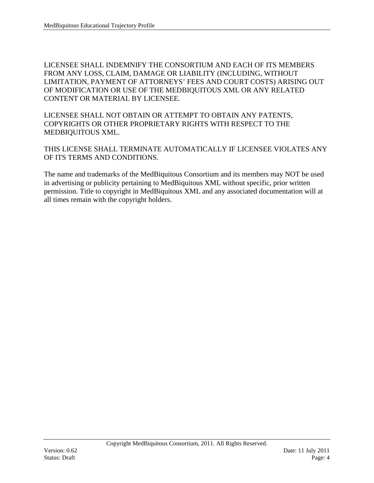LICENSEE SHALL INDEMNIFY THE CONSORTIUM AND EACH OF ITS MEMBERS FROM ANY LOSS, CLAIM, DAMAGE OR LIABILITY (INCLUDING, WITHOUT LIMITATION, PAYMENT OF ATTORNEYS' FEES AND COURT COSTS) ARISING OUT OF MODIFICATION OR USE OF THE MEDBIQUITOUS XML OR ANY RELATED CONTENT OR MATERIAL BY LICENSEE.

LICENSEE SHALL NOT OBTAIN OR ATTEMPT TO OBTAIN ANY PATENTS, COPYRIGHTS OR OTHER PROPRIETARY RIGHTS WITH RESPECT TO THE MEDBIQUITOUS XML.

THIS LICENSE SHALL TERMINATE AUTOMATICALLY IF LICENSEE VIOLATES ANY OF ITS TERMS AND CONDITIONS.

The name and trademarks of the MedBiquitous Consortium and its members may NOT be used in advertising or publicity pertaining to MedBiquitous XML without specific, prior written permission. Title to copyright in MedBiquitous XML and any associated documentation will at all times remain with the copyright holders.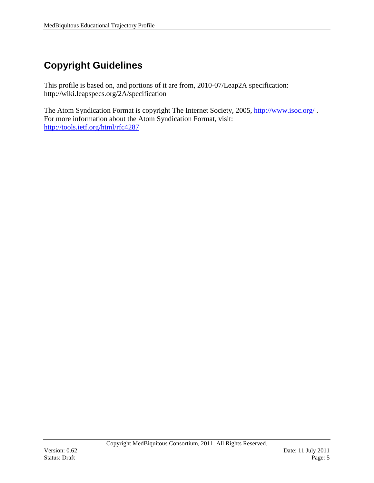# <span id="page-4-0"></span>**Copyright Guidelines**

This profile is based on, and portions of it are from, 2010-07/Leap2A specification: http://wiki.leapspecs.org/2A/specification

The Atom Syndication Format is copyright The Internet Society, 2005,<http://www.isoc.org/>. For more information about the Atom Syndication Format, visit: <http://tools.ietf.org/html/rfc4287>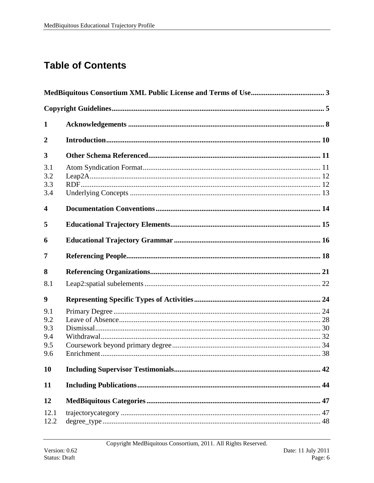# **Table of Contents**

| 1                                      |    |  |
|----------------------------------------|----|--|
| $\overline{2}$                         |    |  |
| 3                                      |    |  |
| 3.1<br>3.2<br>3.3<br>3.4               |    |  |
| 4                                      |    |  |
| 5                                      |    |  |
| 6                                      |    |  |
| 7                                      |    |  |
| 8                                      |    |  |
| 8.1                                    |    |  |
| 9                                      |    |  |
| 9.1<br>9.2<br>9.3<br>9.4<br>9.5<br>9.6 |    |  |
| 10                                     | 42 |  |
| 11                                     |    |  |
| 12                                     |    |  |
| 12.1<br>12.2                           | 48 |  |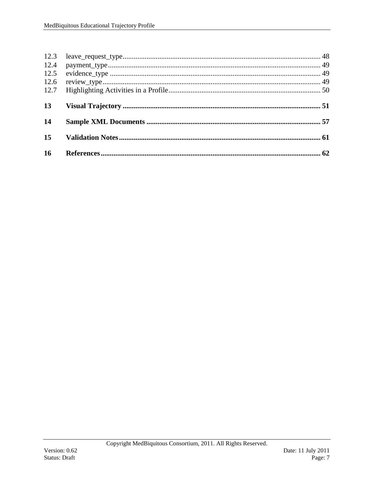| 12.3<br>12.4<br>12.5<br>12.6<br>12.7 |  |
|--------------------------------------|--|
| 13                                   |  |
| 14                                   |  |
| 15                                   |  |
| 16                                   |  |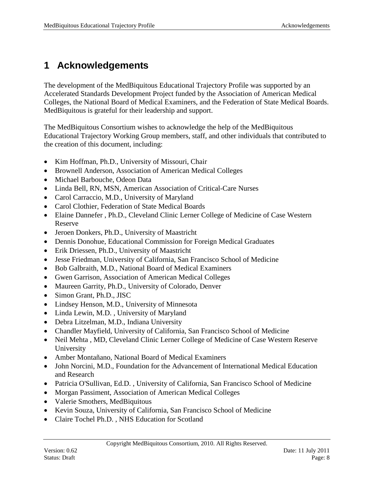# <span id="page-7-0"></span>**1 Acknowledgements**

The development of the MedBiquitous Educational Trajectory Profile was supported by an Accelerated Standards Development Project funded by the Association of American Medical Colleges, the National Board of Medical Examiners, and the Federation of State Medical Boards. MedBiquitous is grateful for their leadership and support.

The MedBiquitous Consortium wishes to acknowledge the help of the MedBiquitous Educational Trajectory Working Group members, staff, and other individuals that contributed to the creation of this document, including:

- Kim Hoffman, Ph.D., University of Missouri, Chair
- Brownell Anderson, Association of American Medical Colleges
- Michael Barbouche, Odeon Data
- Linda Bell, RN, MSN, American Association of Critical-Care Nurses
- Carol Carraccio, M.D., University of Maryland
- Carol Clothier, Federation of State Medical Boards
- Elaine Dannefer , Ph.D., Cleveland Clinic Lerner College of Medicine of Case Western Reserve
- Jeroen Donkers, Ph.D., University of Maastricht
- Dennis Donohue, Educational Commission for Foreign Medical Graduates
- Erik Driessen, Ph.D., University of Maastricht
- Jesse Friedman, University of California, San Francisco School of Medicine
- Bob Galbraith, M.D., National Board of Medical Examiners
- Gwen Garrison, Association of American Medical Colleges
- Maureen Garrity, Ph.D., University of Colorado, Denver
- Simon Grant, Ph.D., JISC
- Lindsey Henson, M.D., University of Minnesota
- Linda Lewin, M.D. , University of Maryland
- Debra Litzelman, M.D., Indiana University
- Chandler Mayfield, University of California, San Francisco School of Medicine
- Neil Mehta , MD, Cleveland Clinic Lerner College of Medicine of Case Western Reserve University
- Amber Montañano, National Board of Medical Examiners
- John Norcini, M.D., Foundation for the Advancement of International Medical Education and Research
- Patricia O'Sullivan, Ed.D. , University of California, San Francisco School of Medicine
- Morgan Passiment, Association of American Medical Colleges
- Valerie Smothers, MedBiquitous
- Kevin Souza, University of California, San Francisco School of Medicine
- Claire Tochel Ph.D. , NHS Education for Scotland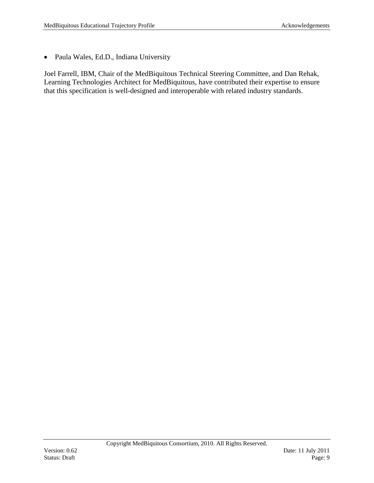• Paula Wales, Ed.D., Indiana University

Joel Farrell, IBM, Chair of the MedBiquitous Technical Steering Committee, and Dan Rehak, Learning Technologies Architect for MedBiquitous, have contributed their expertise to ensure that this specification is well-designed and interoperable with related industry standards.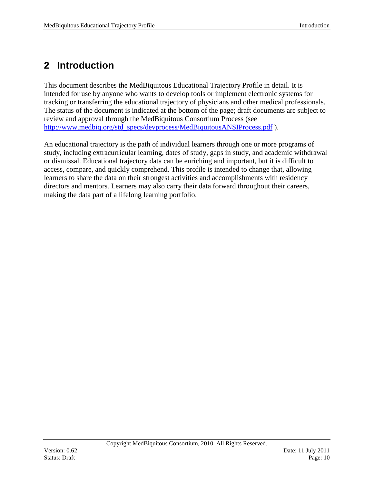# <span id="page-9-0"></span>**2 Introduction**

This document describes the MedBiquitous Educational Trajectory Profile in detail. It is intended for use by anyone who wants to develop tools or implement electronic systems for tracking or transferring the educational trajectory of physicians and other medical professionals. The status of the document is indicated at the bottom of the page; draft documents are subject to review and approval through the MedBiquitous Consortium Process (see [http://www.medbiq.org/std\\_specs/devprocess/MedBiquitousANSIProcess.pdf](http://www.medbiq.org/std_specs/devprocess/MedBiquitousANSIProcess.pdf) ).

An educational trajectory is the path of individual learners through one or more programs of study, including extracurricular learning, dates of study, gaps in study, and academic withdrawal or dismissal. Educational trajectory data can be enriching and important, but it is difficult to access, compare, and quickly comprehend. This profile is intended to change that, allowing learners to share the data on their strongest activities and accomplishments with residency directors and mentors. Learners may also carry their data forward throughout their careers, making the data part of a lifelong learning portfolio.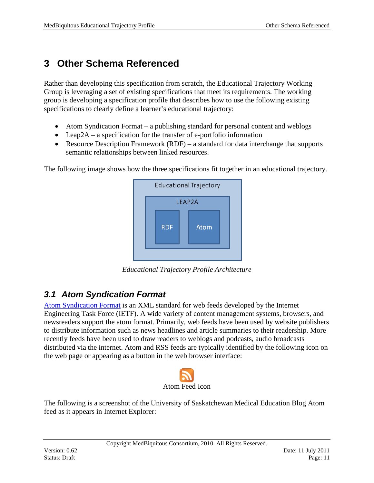# <span id="page-10-0"></span>**3 Other Schema Referenced**

Rather than developing this specification from scratch, the Educational Trajectory Working Group is leveraging a set of existing specifications that meet its requirements. The working group is developing a specification profile that describes how to use the following existing specifications to clearly define a learner's educational trajectory:

- Atom Syndication Format a publishing standard for personal content and weblogs
- Leap2A a specification for the transfer of e-portfolio information
- Resource Description Framework (RDF) a standard for data interchange that supports semantic relationships between linked resources.

The following image shows how the three specifications fit together in an educational trajectory.



*Educational Trajectory Profile Architecture*

### <span id="page-10-1"></span>*3.1 Atom Syndication Format*

[Atom Syndication Format](http://tools.ietf.org/html/rfc4287) is an XML standard for web feeds developed by the Internet Engineering Task Force (IETF). A wide variety of content management systems, browsers, and newsreaders support the atom format. Primarily, web feeds have been used by website publishers to distribute information such as news headlines and article summaries to their readership. More recently feeds have been used to draw readers to weblogs and podcasts, audio broadcasts distributed via the internet. Atom and RSS feeds are typically identified by the following icon on the web page or appearing as a button in the web browser interface:



The following is a screenshot of the University of Saskatchewan Medical Education Blog Atom feed as it appears in Internet Explorer: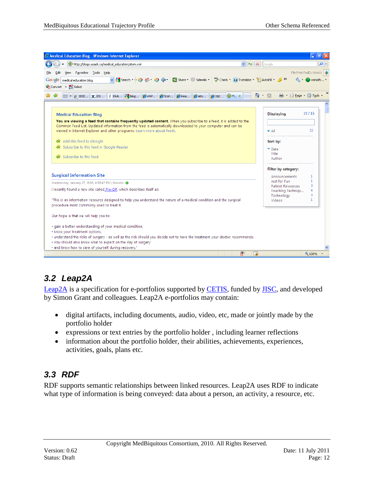| $+$ $\times$<br>http://blogs.usask.ca/medical_education/atom.xml<br>$\vee$<br>Google<br>File Print FedEx Kinko's   ><br>Favorites Tools Help<br><b>View</b><br>AutoFill + 3 Translate + E AutoFill + 3<br>medical education blog<br>■ · ② Page · ③ Tools ·<br>$\bigcirc$ $\cdot$ $\bigcirc$ $\cdot$<br><b>88 - 2 IEEE</b> X 201   3 ERA   3 blog   8 eViP   8 Stan   8 Rea   8 Ato<br>$\bigcirc$ M. $\times$<br>200<br>15/15<br><b>Displaying</b><br><b>Medical Education Blog</b><br>You are viewing a feed that contains frequently updated content. When you subscribe to a feed, it is added to the<br>Common Feed List. Updated information from the feed is automatically downloaded to your computer and can be<br>viewed in Internet Explorer and other programs. Learn more about feeds.<br>15<br>$\bullet$ All<br><b>or</b> Add this feed to iGoogle<br>Sort by:<br>Subscribe to this feed in Google Reader<br>$\nabla$ Date<br>Title<br><b>Subscribe to this feed</b><br>Author<br>Filter by category:<br><b>Surgical Information Site</b><br>1<br>Announcements<br>Just for Fun<br>1<br>Wednesday, January 27, 2010, 4:39:47 PM   Deirdre<br>3<br><b>Patient Resources</b><br>I recently found a new site called Pre-OP, which describes itself as:<br>4<br>Teaching Techniqu<br>3<br>Technology<br>$\mathbf{1}$<br>"This is an information resource designed to help you understand the nature of a medical condition and the surgical<br>Videos<br>procedure most commonly used to treat it.<br>Our hope is that we will help you to:<br>· gain a better understanding of your medical condition,<br>· know your treatment options,<br>· understand the risks of surgery - as well as the risk should you decide not to have the treatment your doctor recommends.<br>. You should also know what to expect on the day of surgery<br>· and know how to care of yourself during recovery."<br>$\bigotimes$<br><b>Le</b><br>4100% | C Medical Education Blog - Windows Internet Explorer | 司        |
|-----------------------------------------------------------------------------------------------------------------------------------------------------------------------------------------------------------------------------------------------------------------------------------------------------------------------------------------------------------------------------------------------------------------------------------------------------------------------------------------------------------------------------------------------------------------------------------------------------------------------------------------------------------------------------------------------------------------------------------------------------------------------------------------------------------------------------------------------------------------------------------------------------------------------------------------------------------------------------------------------------------------------------------------------------------------------------------------------------------------------------------------------------------------------------------------------------------------------------------------------------------------------------------------------------------------------------------------------------------------------------------------------------------------------------------------------------------------------------------------------------------------------------------------------------------------------------------------------------------------------------------------------------------------------------------------------------------------------------------------------------------------------------------------------------------------------------------------------------------------------------------------------------------------------------------------------|------------------------------------------------------|----------|
|                                                                                                                                                                                                                                                                                                                                                                                                                                                                                                                                                                                                                                                                                                                                                                                                                                                                                                                                                                                                                                                                                                                                                                                                                                                                                                                                                                                                                                                                                                                                                                                                                                                                                                                                                                                                                                                                                                                                               |                                                      | - م      |
|                                                                                                                                                                                                                                                                                                                                                                                                                                                                                                                                                                                                                                                                                                                                                                                                                                                                                                                                                                                                                                                                                                                                                                                                                                                                                                                                                                                                                                                                                                                                                                                                                                                                                                                                                                                                                                                                                                                                               |                                                      |          |
|                                                                                                                                                                                                                                                                                                                                                                                                                                                                                                                                                                                                                                                                                                                                                                                                                                                                                                                                                                                                                                                                                                                                                                                                                                                                                                                                                                                                                                                                                                                                                                                                                                                                                                                                                                                                                                                                                                                                               | Google                                               | vsmoth * |
|                                                                                                                                                                                                                                                                                                                                                                                                                                                                                                                                                                                                                                                                                                                                                                                                                                                                                                                                                                                                                                                                                                                                                                                                                                                                                                                                                                                                                                                                                                                                                                                                                                                                                                                                                                                                                                                                                                                                               | Convert - R Select                                   |          |
|                                                                                                                                                                                                                                                                                                                                                                                                                                                                                                                                                                                                                                                                                                                                                                                                                                                                                                                                                                                                                                                                                                                                                                                                                                                                                                                                                                                                                                                                                                                                                                                                                                                                                                                                                                                                                                                                                                                                               |                                                      |          |
|                                                                                                                                                                                                                                                                                                                                                                                                                                                                                                                                                                                                                                                                                                                                                                                                                                                                                                                                                                                                                                                                                                                                                                                                                                                                                                                                                                                                                                                                                                                                                                                                                                                                                                                                                                                                                                                                                                                                               |                                                      |          |
|                                                                                                                                                                                                                                                                                                                                                                                                                                                                                                                                                                                                                                                                                                                                                                                                                                                                                                                                                                                                                                                                                                                                                                                                                                                                                                                                                                                                                                                                                                                                                                                                                                                                                                                                                                                                                                                                                                                                               |                                                      |          |
|                                                                                                                                                                                                                                                                                                                                                                                                                                                                                                                                                                                                                                                                                                                                                                                                                                                                                                                                                                                                                                                                                                                                                                                                                                                                                                                                                                                                                                                                                                                                                                                                                                                                                                                                                                                                                                                                                                                                               |                                                      |          |
|                                                                                                                                                                                                                                                                                                                                                                                                                                                                                                                                                                                                                                                                                                                                                                                                                                                                                                                                                                                                                                                                                                                                                                                                                                                                                                                                                                                                                                                                                                                                                                                                                                                                                                                                                                                                                                                                                                                                               |                                                      |          |
|                                                                                                                                                                                                                                                                                                                                                                                                                                                                                                                                                                                                                                                                                                                                                                                                                                                                                                                                                                                                                                                                                                                                                                                                                                                                                                                                                                                                                                                                                                                                                                                                                                                                                                                                                                                                                                                                                                                                               |                                                      |          |
|                                                                                                                                                                                                                                                                                                                                                                                                                                                                                                                                                                                                                                                                                                                                                                                                                                                                                                                                                                                                                                                                                                                                                                                                                                                                                                                                                                                                                                                                                                                                                                                                                                                                                                                                                                                                                                                                                                                                               |                                                      |          |
|                                                                                                                                                                                                                                                                                                                                                                                                                                                                                                                                                                                                                                                                                                                                                                                                                                                                                                                                                                                                                                                                                                                                                                                                                                                                                                                                                                                                                                                                                                                                                                                                                                                                                                                                                                                                                                                                                                                                               |                                                      |          |
|                                                                                                                                                                                                                                                                                                                                                                                                                                                                                                                                                                                                                                                                                                                                                                                                                                                                                                                                                                                                                                                                                                                                                                                                                                                                                                                                                                                                                                                                                                                                                                                                                                                                                                                                                                                                                                                                                                                                               |                                                      |          |
|                                                                                                                                                                                                                                                                                                                                                                                                                                                                                                                                                                                                                                                                                                                                                                                                                                                                                                                                                                                                                                                                                                                                                                                                                                                                                                                                                                                                                                                                                                                                                                                                                                                                                                                                                                                                                                                                                                                                               |                                                      |          |
|                                                                                                                                                                                                                                                                                                                                                                                                                                                                                                                                                                                                                                                                                                                                                                                                                                                                                                                                                                                                                                                                                                                                                                                                                                                                                                                                                                                                                                                                                                                                                                                                                                                                                                                                                                                                                                                                                                                                               |                                                      |          |
|                                                                                                                                                                                                                                                                                                                                                                                                                                                                                                                                                                                                                                                                                                                                                                                                                                                                                                                                                                                                                                                                                                                                                                                                                                                                                                                                                                                                                                                                                                                                                                                                                                                                                                                                                                                                                                                                                                                                               |                                                      |          |
|                                                                                                                                                                                                                                                                                                                                                                                                                                                                                                                                                                                                                                                                                                                                                                                                                                                                                                                                                                                                                                                                                                                                                                                                                                                                                                                                                                                                                                                                                                                                                                                                                                                                                                                                                                                                                                                                                                                                               |                                                      |          |
|                                                                                                                                                                                                                                                                                                                                                                                                                                                                                                                                                                                                                                                                                                                                                                                                                                                                                                                                                                                                                                                                                                                                                                                                                                                                                                                                                                                                                                                                                                                                                                                                                                                                                                                                                                                                                                                                                                                                               |                                                      |          |
|                                                                                                                                                                                                                                                                                                                                                                                                                                                                                                                                                                                                                                                                                                                                                                                                                                                                                                                                                                                                                                                                                                                                                                                                                                                                                                                                                                                                                                                                                                                                                                                                                                                                                                                                                                                                                                                                                                                                               |                                                      |          |
|                                                                                                                                                                                                                                                                                                                                                                                                                                                                                                                                                                                                                                                                                                                                                                                                                                                                                                                                                                                                                                                                                                                                                                                                                                                                                                                                                                                                                                                                                                                                                                                                                                                                                                                                                                                                                                                                                                                                               |                                                      |          |
|                                                                                                                                                                                                                                                                                                                                                                                                                                                                                                                                                                                                                                                                                                                                                                                                                                                                                                                                                                                                                                                                                                                                                                                                                                                                                                                                                                                                                                                                                                                                                                                                                                                                                                                                                                                                                                                                                                                                               |                                                      |          |
|                                                                                                                                                                                                                                                                                                                                                                                                                                                                                                                                                                                                                                                                                                                                                                                                                                                                                                                                                                                                                                                                                                                                                                                                                                                                                                                                                                                                                                                                                                                                                                                                                                                                                                                                                                                                                                                                                                                                               |                                                      |          |
|                                                                                                                                                                                                                                                                                                                                                                                                                                                                                                                                                                                                                                                                                                                                                                                                                                                                                                                                                                                                                                                                                                                                                                                                                                                                                                                                                                                                                                                                                                                                                                                                                                                                                                                                                                                                                                                                                                                                               |                                                      |          |
|                                                                                                                                                                                                                                                                                                                                                                                                                                                                                                                                                                                                                                                                                                                                                                                                                                                                                                                                                                                                                                                                                                                                                                                                                                                                                                                                                                                                                                                                                                                                                                                                                                                                                                                                                                                                                                                                                                                                               |                                                      |          |

### <span id="page-11-0"></span>*3.2 Leap2A*

[Leap2A](http://wiki.cetis.ac.uk/2009-03/LEAP2A_specification) is a specification for e-portfolios supported by [CETIS,](http://jisc.cetis.ac.uk/) funded by [JISC,](http://www.jisc.ac.uk/) and developed by Simon Grant and colleagues. Leap2A e-portfolios may contain:

- digital artifacts, including documents, audio, video, etc, made or jointly made by the portfolio holder
- expressions or text entries by the portfolio holder , including learner reflections
- information about the portfolio holder, their abilities, achievements, experiences, activities, goals, plans etc.

### <span id="page-11-1"></span>*3.3 RDF*

RDF supports semantic relationships between linked resources. Leap2A uses RDF to indicate what type of information is being conveyed: data about a person, an activity, a resource, etc.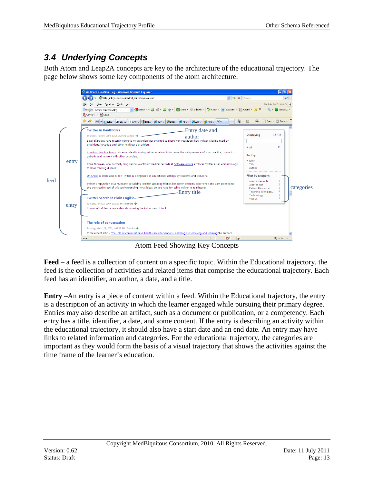### <span id="page-12-0"></span>*3.4 Underlying Concepts*

Both Atom and Leap2A concepts are key to the architecture of the educational trajectory. The page below shows some key components of the atom architecture.



**Feed** – a feed is a collection of content on a specific topic. Within the Educational trajectory, the feed is the collection of activities and related items that comprise the educational trajectory. Each feed has an identifier, an author, a date, and a title.

**Entry** –An entry is a piece of content within a feed. Within the Educational trajectory, the entry is a description of an activity in which the learner engaged while pursuing their primary degree. Entries may also describe an artifact, such as a document or publication, or a competency. Each entry has a title, identifier, a date, and some content. If the entry is describing an activity within the educational trajectory, it should also have a start date and an end date. An entry may have links to related information and categories. For the educational trajectory, the categories are important as they would form the basis of a visual trajectory that shows the activities against the time frame of the learner's education.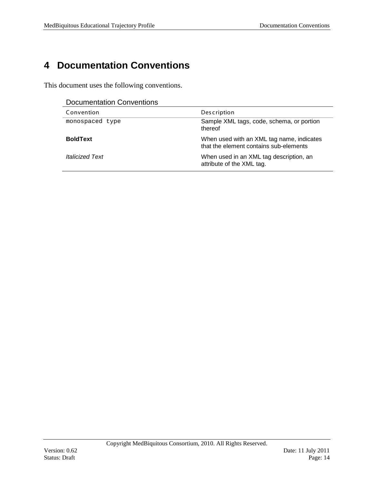# <span id="page-13-0"></span>**4 Documentation Conventions**

This document uses the following conventions.

| <b>Documentation Conventions</b> |  |
|----------------------------------|--|
|----------------------------------|--|

| <b>PUULIIUI KUULI UUITTUI KUULI</b> |                                                                                     |  |
|-------------------------------------|-------------------------------------------------------------------------------------|--|
| Convention                          | <b>Description</b>                                                                  |  |
| monospaced type                     | Sample XML tags, code, schema, or portion<br>thereof                                |  |
| <b>BoldText</b>                     | When used with an XML tag name, indicates<br>that the element contains sub-elements |  |
| <i><b>Italicized Text</b></i>       | When used in an XML tag description, an<br>attribute of the XML tag.                |  |

-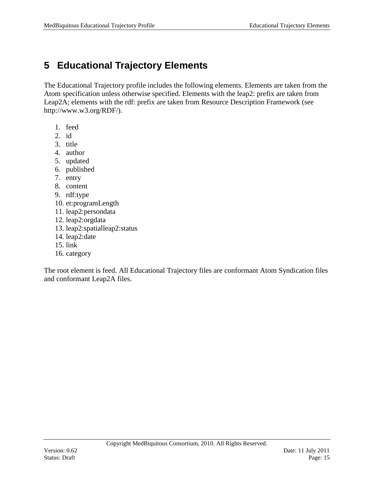# <span id="page-14-0"></span>**5 Educational Trajectory Elements**

The Educational Trajectory profile includes the following elements. Elements are taken from the Atom specification unless otherwise specified. Elements with the leap2: prefix are taken from Leap2A; elements with the rdf: prefix are taken from Resource Description Framework (see http://www.w3.org/RDF/).

- 1. feed
- 2. id
- 3. title
- 4. author
- 5. updated
- 6. published
- 7. entry
- 8. content
- 9. rdf:type
- 10. et:programLength
- 11. leap2:persondata
- 12. leap2:orgdata
- 13. leap2:spatialleap2:status
- 14. leap2:date
- 15. link
- 16. category

The root element is feed. All Educational Trajectory files are conformant Atom Syndication files and conformant Leap2A files.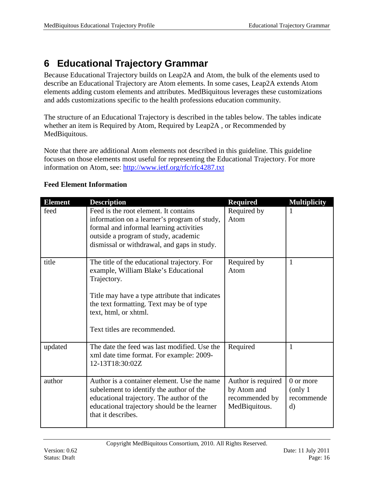# <span id="page-15-0"></span>**6 Educational Trajectory Grammar**

Because Educational Trajectory builds on Leap2A and Atom, the bulk of the elements used to describe an Educational Trajectory are Atom elements. In some cases, Leap2A extends Atom elements adding custom elements and attributes. MedBiquitous leverages these customizations and adds customizations specific to the health professions education community.

The structure of an Educational Trajectory is described in the tables below. The tables indicate whether an item is Required by Atom, Required by Leap2A , or Recommended by MedBiquitous.

Note that there are additional Atom elements not described in this guideline. This guideline focuses on those elements most useful for representing the Educational Trajectory. For more information on Atom, see:<http://www.ietf.org/rfc/rfc4287.txt>

| <b>Element</b> | <b>Description</b>                                                                                                                                                                                                                                         | <b>Required</b>                                                      | <b>Multiplicity</b>                                         |
|----------------|------------------------------------------------------------------------------------------------------------------------------------------------------------------------------------------------------------------------------------------------------------|----------------------------------------------------------------------|-------------------------------------------------------------|
| feed           | Feed is the root element. It contains<br>information on a learner's program of study,<br>formal and informal learning activities<br>outside a program of study, academic<br>dismissal or withdrawal, and gaps in study.                                    | Required by<br>Atom                                                  | 1                                                           |
| title          | The title of the educational trajectory. For<br>example, William Blake's Educational<br>Trajectory.<br>Title may have a type attribute that indicates<br>the text formatting. Text may be of type<br>text, html, or xhtml.<br>Text titles are recommended. | Required by<br>Atom                                                  | $\mathbf{1}$                                                |
| updated        | The date the feed was last modified. Use the<br>xml date time format. For example: 2009-<br>12-13T18:30:02Z                                                                                                                                                | Required                                                             | $\mathbf{1}$                                                |
| author         | Author is a container element. Use the name<br>subelement to identify the author of the<br>educational trajectory. The author of the<br>educational trajectory should be the learner<br>that it describes.                                                 | Author is required<br>by Atom and<br>recommended by<br>MedBiquitous. | 0 or more<br>$\langle$ only 1<br>recommende<br>$\mathbf{d}$ |

### **Feed Element Information**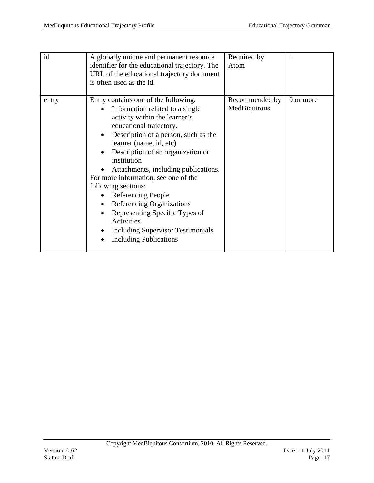| id    | A globally unique and permanent resource<br>identifier for the educational trajectory. The<br>URL of the educational trajectory document<br>is often used as the id.                                                                                                                                                                                                                                                                                                                                                                                            | Required by<br>Atom            | 1         |
|-------|-----------------------------------------------------------------------------------------------------------------------------------------------------------------------------------------------------------------------------------------------------------------------------------------------------------------------------------------------------------------------------------------------------------------------------------------------------------------------------------------------------------------------------------------------------------------|--------------------------------|-----------|
| entry | Entry contains one of the following:<br>Information related to a single<br>activity within the learner's<br>educational trajectory.<br>Description of a person, such as the<br>learner (name, id, etc)<br>Description of an organization or<br>institution<br>Attachments, including publications.<br>For more information, see one of the<br>following sections:<br><b>Referencing People</b><br>Referencing Organizations<br>Representing Specific Types of<br><b>Activities</b><br><b>Including Supervisor Testimonials</b><br><b>Including Publications</b> | Recommended by<br>MedBiquitous | 0 or more |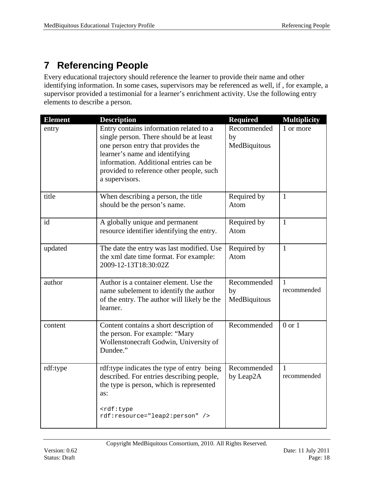# <span id="page-17-0"></span>**7 Referencing People**

Every educational trajectory should reference the learner to provide their name and other identifying information. In some cases, supervisors may be referenced as well, if , for example, a supervisor provided a testimonial for a learner's enrichment activity. Use the following entry elements to describe a person.

| <b>Element</b> | <b>Description</b>                                                                                                                                                                                                                                                 | <b>Required</b>                   | <b>Multiplicity</b>         |
|----------------|--------------------------------------------------------------------------------------------------------------------------------------------------------------------------------------------------------------------------------------------------------------------|-----------------------------------|-----------------------------|
| entry          | Entry contains information related to a<br>single person. There should be at least<br>one person entry that provides the<br>learner's name and identifying<br>information. Additional entries can be<br>provided to reference other people, such<br>a supervisors. | Recommended<br>by<br>MedBiquitous | 1 or more                   |
| title          | When describing a person, the title<br>should be the person's name.                                                                                                                                                                                                | Required by<br>Atom               | $\mathbf{1}$                |
| id             | A globally unique and permanent<br>resource identifier identifying the entry.                                                                                                                                                                                      | Required by<br>Atom               | $\mathbf{1}$                |
| updated        | The date the entry was last modified. Use<br>the xml date time format. For example:<br>2009-12-13T18:30:02Z                                                                                                                                                        | Required by<br>Atom               | $\mathbf{1}$                |
| author         | Author is a container element. Use the<br>name subelement to identify the author<br>of the entry. The author will likely be the<br>learner.                                                                                                                        | Recommended<br>by<br>MedBiquitous | $\mathbf{1}$<br>recommended |
| content        | Content contains a short description of<br>the person. For example: "Mary<br>Wollenstonecraft Godwin, University of<br>Dundee."                                                                                                                                    | Recommended                       | $0$ or $1$                  |
| rdf:type       | rdf:type indicates the type of entry being<br>described. For entries describing people,<br>the type is person, which is represented<br>as:                                                                                                                         | Recommended<br>by Leap2A          | 1<br>recommended            |
|                | <rdf:type<br>rdf:resource="leap2:person" /&gt;</rdf:type<br>                                                                                                                                                                                                       |                                   |                             |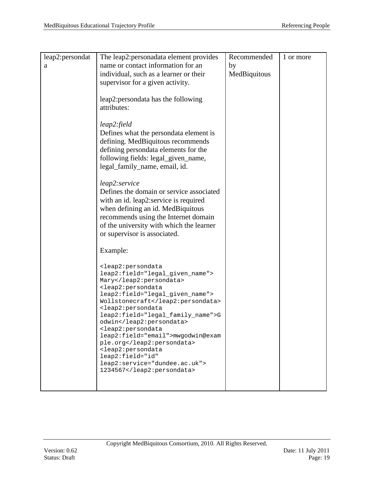| leap2:persondat | The leap2: personadata element provides                                           | Recommended  | 1 or more |
|-----------------|-----------------------------------------------------------------------------------|--------------|-----------|
| a               | name or contact information for an                                                | by           |           |
|                 | individual, such as a learner or their                                            | MedBiquitous |           |
|                 | supervisor for a given activity.                                                  |              |           |
|                 | leap2:persondata has the following                                                |              |           |
|                 | attributes:                                                                       |              |           |
|                 |                                                                                   |              |           |
|                 | leap2:field<br>Defines what the persondata element is                             |              |           |
|                 | defining. MedBiquitous recommends                                                 |              |           |
|                 | defining persondata elements for the                                              |              |           |
|                 | following fields: legal_given_name,                                               |              |           |
|                 | legal_family_name, email, id.                                                     |              |           |
|                 | leap2:service                                                                     |              |           |
|                 | Defines the domain or service associated                                          |              |           |
|                 | with an id. leap2:service is required<br>when defining an id. MedBiquitous        |              |           |
|                 | recommends using the Internet domain                                              |              |           |
|                 | of the university with which the learner                                          |              |           |
|                 | or supervisor is associated.                                                      |              |           |
|                 | Example:                                                                          |              |           |
|                 | <leap2:persondata< td=""><td></td><td></td></leap2:persondata<>                   |              |           |
|                 | leap2:field="legal_given_name">                                                   |              |           |
|                 | Mary<br><leap2:persondata< td=""><td></td><td></td></leap2:persondata<>           |              |           |
|                 | leap2:field="legal_given_name">                                                   |              |           |
|                 | Wollstonecraft<br><leap2:persondata< td=""><td></td><td></td></leap2:persondata<> |              |           |
|                 | leap2:field="legal_family_name">G                                                 |              |           |
|                 | odwin<br><leap2:persondata< td=""><td></td><td></td></leap2:persondata<>          |              |           |
|                 | leap2:field="email">mwgodwin@exam                                                 |              |           |
|                 | ple.org<br><leap2:persondata< td=""><td></td><td></td></leap2:persondata<>        |              |           |
|                 | leap2:field="id"                                                                  |              |           |
|                 | leap2:service="dundee.ac.uk"><br>1234567                                          |              |           |
|                 |                                                                                   |              |           |
|                 |                                                                                   |              |           |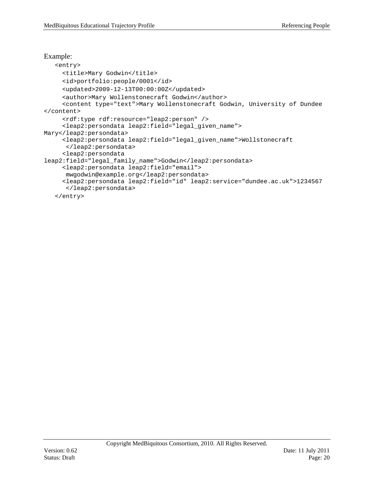```
Example:
    <entry>
      <title>Mary Godwin</title>
      <id>portfolio:people/0001</id>
      <updated>2009-12-13T00:00:00Z</updated>
      <author>Mary Wollenstonecraft Godwin</author>
      <content type="text">Mary Wollenstonecraft Godwin, University of Dundee
</content>
      <rdf:type rdf:resource="leap2:person" />
      <leap2:persondata leap2:field="legal_given_name"> 
Mary</leap2:persondata>
      <leap2:persondata leap2:field="legal_given_name">Wollstonecraft 
       </leap2:persondata>
      <leap2:persondata 
leap2:field="legal_family_name">Godwin</leap2:persondata>
      <leap2:persondata leap2:field="email"> 
      mwgodwin@example.org</leap2:persondata>
      <leap2:persondata leap2:field="id" leap2:service="dundee.ac.uk">1234567
       </leap2:persondata>
    </entry>
```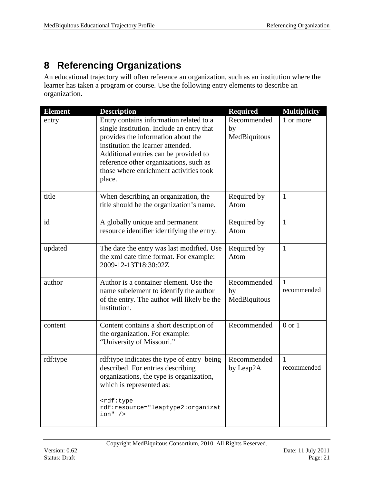# <span id="page-20-0"></span>**8 Referencing Organizations**

An educational trajectory will often reference an organization, such as an institution where the learner has taken a program or course. Use the following entry elements to describe an organization.

| <b>Element</b> | <b>Description</b>                                                                                                                                                                                                                                                                                     | <b>Required</b>                   | <b>Multiplicity</b>         |
|----------------|--------------------------------------------------------------------------------------------------------------------------------------------------------------------------------------------------------------------------------------------------------------------------------------------------------|-----------------------------------|-----------------------------|
| entry          | Entry contains information related to a<br>single institution. Include an entry that<br>provides the information about the<br>institution the learner attended.<br>Additional entries can be provided to<br>reference other organizations, such as<br>those where enrichment activities took<br>place. | Recommended<br>by<br>MedBiquitous | 1 or more                   |
| title          | When describing an organization, the<br>title should be the organization's name.                                                                                                                                                                                                                       | Required by<br>Atom               | $\mathbf{1}$                |
| id             | A globally unique and permanent<br>resource identifier identifying the entry.                                                                                                                                                                                                                          | Required by<br>Atom               | $\mathbf{1}$                |
| updated        | The date the entry was last modified. Use<br>the xml date time format. For example:<br>2009-12-13T18:30:02Z                                                                                                                                                                                            | Required by<br>Atom               | $\mathbf{1}$                |
| author         | Author is a container element. Use the<br>name subelement to identify the author<br>of the entry. The author will likely be the<br>institution.                                                                                                                                                        | Recommended<br>by<br>MedBiquitous | $\mathbf{1}$<br>recommended |
| content        | Content contains a short description of<br>the organization. For example:<br>"University of Missouri."                                                                                                                                                                                                 | Recommended                       | $0$ or $1$                  |
| rdf:type       | rdf:type indicates the type of entry being<br>described. For entries describing<br>organizations, the type is organization,<br>which is represented as:<br><rdf:type<br>rdf: resource="leaptype2: organizat<br/><math>ion"</math> /&gt;</rdf:type<br>                                                  | Recommended<br>by Leap2A          | $\mathbf{1}$<br>recommended |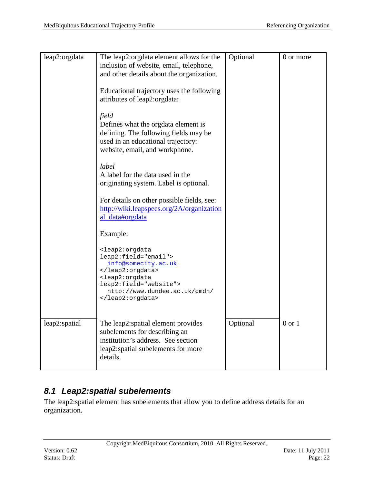| leap2:orgdata | The leap2:orgdata element allows for the<br>inclusion of website, email, telephone,                                                                                                                 | Optional | 0 or more  |
|---------------|-----------------------------------------------------------------------------------------------------------------------------------------------------------------------------------------------------|----------|------------|
|               | and other details about the organization.                                                                                                                                                           |          |            |
|               | Educational trajectory uses the following<br>attributes of leap2:orgdata:                                                                                                                           |          |            |
|               | field<br>Defines what the orgdata element is<br>defining. The following fields may be<br>used in an educational trajectory:<br>website, email, and workphone.                                       |          |            |
|               | label<br>A label for the data used in the<br>originating system. Label is optional.                                                                                                                 |          |            |
|               | For details on other possible fields, see:<br>http://wiki.leapspecs.org/2A/organization<br>al_data#orgdata                                                                                          |          |            |
|               | Example:                                                                                                                                                                                            |          |            |
|               | <leap2:orgdata<br>leap2:field="email"&gt;<br/>info@somecity.ac.uk<br/><br/><leap2:orgdata<br>leap2:field="website"&gt;<br/>http://www.dundee.ac.uk/cmdn/<br/></leap2:orgdata<br></leap2:orgdata<br> |          |            |
| leap2:spatial | The leap2: spatial element provides<br>subelements for describing an<br>institution's address. See section<br>leap2:spatial subelements for more<br>details.                                        | Optional | $0$ or $1$ |

### <span id="page-21-0"></span>*8.1 Leap2:spatial subelements*

The leap2:spatial element has subelements that allow you to define address details for an organization.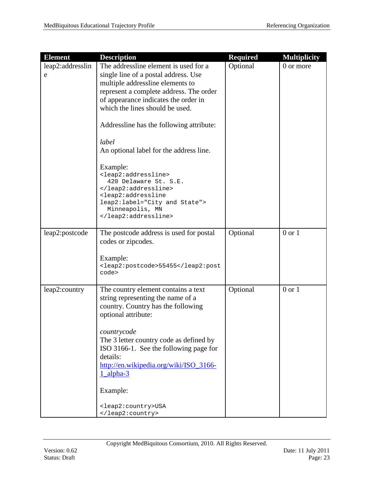| <b>Element</b>        | <b>Description</b>                                                                                                                                                                                                                                                                                                                                                                                                            | <b>Required</b> | <b>Multiplicity</b> |
|-----------------------|-------------------------------------------------------------------------------------------------------------------------------------------------------------------------------------------------------------------------------------------------------------------------------------------------------------------------------------------------------------------------------------------------------------------------------|-----------------|---------------------|
| leap2:addresslin<br>e | The addressline element is used for a<br>single line of a postal address. Use<br>multiple addressline elements to<br>represent a complete address. The order<br>of appearance indicates the order in<br>which the lines should be used.<br>Addressline has the following attribute:<br>label<br>An optional label for the address line.<br>Example:<br><leap2:addressline><br/>420 Delaware St. S.E.<br/></leap2:addressline> | Optional        | 0 or more           |
|                       | <leap2:addressline<br>leap2:label="City and State"&gt;<br/>Minneapolis, MN<br/></leap2:addressline<br>                                                                                                                                                                                                                                                                                                                        |                 |                     |
| leap2:postcode        | The postcode address is used for postal<br>codes or zipcodes.<br>Example:<br><leap2:postcode>55455code&gt;</leap2:postcode>                                                                                                                                                                                                                                                                                                   | Optional        | $0$ or $1$          |
| leap2:country         | The country element contains a text<br>string representing the name of a<br>country. Country has the following<br>optional attribute:<br>countrycode<br>The 3 letter country code as defined by<br>ISO 3166-1. See the following page for<br>details:<br>http://en.wikipedia.org/wiki/ISO_3166-<br>$1$ alpha- $3$<br>Example:<br><leap2:country>USA</leap2:country>                                                           | Optional        | $0$ or $1$          |
|                       |                                                                                                                                                                                                                                                                                                                                                                                                                               |                 |                     |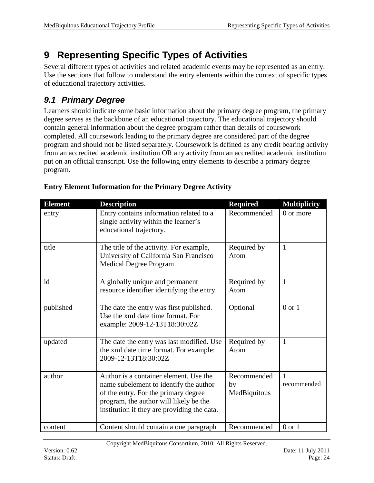# <span id="page-23-0"></span>**9 Representing Specific Types of Activities**

Several different types of activities and related academic events may be represented as an entry. Use the sections that follow to understand the entry elements within the context of specific types of educational trajectory activities.

### <span id="page-23-1"></span>*9.1 Primary Degree*

Learners should indicate some basic information about the primary degree program, the primary degree serves as the backbone of an educational trajectory. The educational trajectory should contain general information about the degree program rather than details of coursework completed. All coursework leading to the primary degree are considered part of the degree program and should not be listed separately. Coursework is defined as any credit bearing activity from an accredited academic institution OR any activity from an accredited academic institution put on an official transcript. Use the following entry elements to describe a primary degree program.

| <b>Element</b> | <b>Description</b>                                                                                                                                                                                                | <b>Required</b>                   | <b>Multiplicity</b>         |
|----------------|-------------------------------------------------------------------------------------------------------------------------------------------------------------------------------------------------------------------|-----------------------------------|-----------------------------|
| entry          | Entry contains information related to a<br>single activity within the learner's<br>educational trajectory.                                                                                                        | Recommended                       | 0 or more                   |
| title          | The title of the activity. For example,<br>University of California San Francisco<br>Medical Degree Program.                                                                                                      | Required by<br>Atom               | $\mathbf{1}$                |
| id             | A globally unique and permanent<br>resource identifier identifying the entry.                                                                                                                                     | Required by<br>Atom               | $\mathbf{1}$                |
| published      | The date the entry was first published.<br>Use the xml date time format. For<br>example: 2009-12-13T18:30:02Z                                                                                                     | Optional                          | $0$ or $1$                  |
| updated        | The date the entry was last modified. Use<br>the xml date time format. For example:<br>2009-12-13T18:30:02Z                                                                                                       | Required by<br>Atom               | $\mathbf{1}$                |
| author         | Author is a container element. Use the<br>name subelement to identify the author<br>of the entry. For the primary degree<br>program, the author will likely be the<br>institution if they are providing the data. | Recommended<br>by<br>MedBiquitous | $\mathbf{1}$<br>recommended |
| content        | Content should contain a one paragraph                                                                                                                                                                            | Recommended                       | $0$ or $1$                  |

#### **Entry Element Information for the Primary Degree Activity**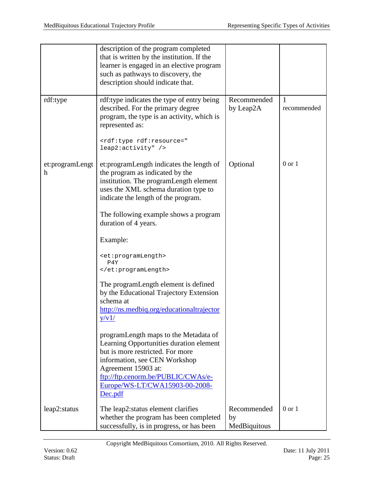|                      | description of the program completed<br>that is written by the institution. If the<br>learner is engaged in an elective program<br>such as pathways to discovery, the<br>description should indicate that.                                           |                                   |                  |
|----------------------|------------------------------------------------------------------------------------------------------------------------------------------------------------------------------------------------------------------------------------------------------|-----------------------------------|------------------|
| rdf:type             | rdf:type indicates the type of entry being<br>described. For the primary degree<br>program, the type is an activity, which is<br>represented as:                                                                                                     | Recommended<br>by Leap2A          | 1<br>recommended |
|                      | <rdf:type rdf:resource="&lt;br&gt;leap2:activity"></rdf:type>                                                                                                                                                                                        |                                   |                  |
| et:programLengt<br>h | et: programLength indicates the length of<br>the program as indicated by the<br>institution. The programLength element<br>uses the XML schema duration type to<br>indicate the length of the program.                                                | Optional                          | $0$ or $1$       |
|                      | The following example shows a program<br>duration of 4 years.                                                                                                                                                                                        |                                   |                  |
|                      | Example:                                                                                                                                                                                                                                             |                                   |                  |
|                      | <et:programlength><br/>P4Y<br/></et:programlength>                                                                                                                                                                                                   |                                   |                  |
|                      | The programLength element is defined<br>by the Educational Trajectory Extension<br>schema at<br>http://ns.medbiq.org/educationaltrajector                                                                                                            |                                   |                  |
|                      | y/v1/                                                                                                                                                                                                                                                |                                   |                  |
|                      | programLength maps to the Metadata of<br>Learning Opportunities duration element<br>but is more restricted. For more<br>information, see CEN Workshop<br>Agreement 15903 at:<br>ftp://ftp.cenorm.be/PUBLIC/CWAs/e-<br>Europe/WS-LT/CWA15903-00-2008- |                                   |                  |
|                      | Dec.pdf                                                                                                                                                                                                                                              |                                   |                  |
| leap2:status         | The leap2: status element clarifies<br>whether the program has been completed<br>successfully, is in progress, or has been                                                                                                                           | Recommended<br>by<br>MedBiquitous | $0$ or $1$       |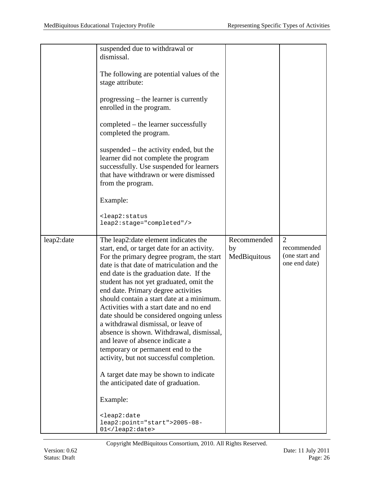|            | suspended due to withdrawal or<br>dismissal.<br>The following are potential values of the<br>stage attribute:<br>progressing – the learner is currently<br>enrolled in the program.<br>completed - the learner successfully<br>completed the program.<br>suspended – the activity ended, but the<br>learner did not complete the program<br>successfully. Use suspended for learners<br>that have withdrawn or were dismissed<br>from the program.<br>Example:<br><leap2:status<br>leap2:stage="completed"/&gt;</leap2:status<br>                                                                                                                                                                                                                                                                                                                                                              |                                   |                                                                  |
|------------|------------------------------------------------------------------------------------------------------------------------------------------------------------------------------------------------------------------------------------------------------------------------------------------------------------------------------------------------------------------------------------------------------------------------------------------------------------------------------------------------------------------------------------------------------------------------------------------------------------------------------------------------------------------------------------------------------------------------------------------------------------------------------------------------------------------------------------------------------------------------------------------------|-----------------------------------|------------------------------------------------------------------|
| leap2:date | The leap2:date element indicates the<br>start, end, or target date for an activity.<br>For the primary degree program, the start<br>date is that date of matriculation and the<br>end date is the graduation date. If the<br>student has not yet graduated, omit the<br>end date. Primary degree activities<br>should contain a start date at a minimum.<br>Activities with a start date and no end<br>date should be considered ongoing unless<br>a withdrawal dismissal, or leave of<br>absence is shown. Withdrawal, dismissal,<br>and leave of absence indicate a<br>temporary or permanent end to the<br>activity, but not successful completion.<br>A target date may be shown to indicate<br>the anticipated date of graduation.<br>Example:<br><leap2:date<br>leap2:point="start"&gt;2005-08-<br/><math>01</math> &lt; / <math>1</math> eap <math>2</math> : date &gt;</leap2:date<br> | Recommended<br>by<br>MedBiquitous | $\overline{2}$<br>recommended<br>(one start and<br>one end date) |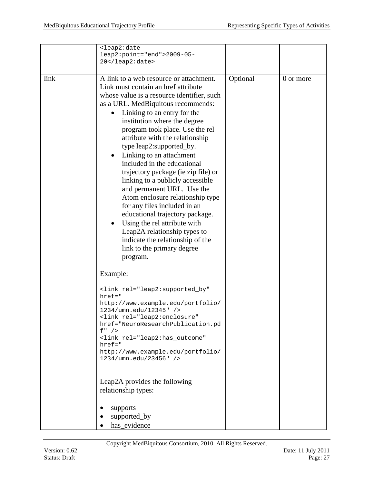|      | <leap2:date<br>leap2:point="end"&gt;2009-05-<br/>20</leap2:date<br>                                                                                                                                                                                                                                                                                                                                                                                                                                                                                                                                                                                                                                                                                                            |          |           |
|------|--------------------------------------------------------------------------------------------------------------------------------------------------------------------------------------------------------------------------------------------------------------------------------------------------------------------------------------------------------------------------------------------------------------------------------------------------------------------------------------------------------------------------------------------------------------------------------------------------------------------------------------------------------------------------------------------------------------------------------------------------------------------------------|----------|-----------|
| link | A link to a web resource or attachment.<br>Link must contain an href attribute<br>whose value is a resource identifier, such<br>as a URL. MedBiquitous recommends:<br>Linking to an entry for the<br>institution where the degree<br>program took place. Use the rel<br>attribute with the relationship<br>type leap2:supported_by.<br>Linking to an attachment<br>٠<br>included in the educational<br>trajectory package (ie zip file) or<br>linking to a publicly accessible<br>and permanent URL. Use the<br>Atom enclosure relationship type<br>for any files included in an<br>educational trajectory package.<br>Using the rel attribute with<br>$\bullet$<br>Leap2A relationship types to<br>indicate the relationship of the<br>link to the primary degree<br>program. | Optional | 0 or more |
|      | Example:                                                                                                                                                                                                                                                                                                                                                                                                                                                                                                                                                                                                                                                                                                                                                                       |          |           |
|      | <link <br="" rel="leap2:supported_by"/> $href = "$<br>http://www.example.edu/portfolio/<br>1234/umn.edu/12345" /><br><link <br="" rel="leap2:enclosure"/> href="NeuroResearchPublication.pd<br>$f''$ /><br><link <br="" rel="leap2:has_outcome"/> $href='$<br>http://www.example.edu/portfolio/<br>1234/umn.edu/23456" />                                                                                                                                                                                                                                                                                                                                                                                                                                                      |          |           |
|      | Leap2A provides the following<br>relationship types:                                                                                                                                                                                                                                                                                                                                                                                                                                                                                                                                                                                                                                                                                                                           |          |           |
|      | supports<br>supported_by<br>has_evidence                                                                                                                                                                                                                                                                                                                                                                                                                                                                                                                                                                                                                                                                                                                                       |          |           |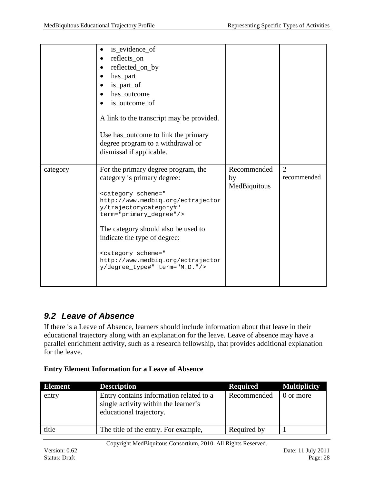|          | is_evidence_of<br>reflects_on<br>reflected_on_by<br>has_part<br>is_part_of<br>has_outcome<br>is_outcome_of<br>A link to the transcript may be provided.<br>Use has_outcome to link the primary<br>degree program to a withdrawal or<br>dismissal if applicable.                                                                                                                                              |                                   |                               |
|----------|--------------------------------------------------------------------------------------------------------------------------------------------------------------------------------------------------------------------------------------------------------------------------------------------------------------------------------------------------------------------------------------------------------------|-----------------------------------|-------------------------------|
| category | For the primary degree program, the<br>category is primary degree:<br><category <br="" scheme="&lt;br&gt;http://www.medbiq.org/edtrajector&lt;br&gt;y/trajectorycategory#">term="primary_degree"/&gt;<br/>The category should also be used to<br/>indicate the type of degree:<br/><category scheme="&lt;br&gt;http://www.medbiq.org/edtrajector&lt;br&gt;y/degree_type#" term="M.D."></category></category> | Recommended<br>by<br>MedBiquitous | $\overline{2}$<br>recommended |

### <span id="page-27-0"></span>*9.2 Leave of Absence*

If there is a Leave of Absence, learners should include information about that leave in their educational trajectory along with an explanation for the leave. Leave of absence may have a parallel enrichment activity, such as a research fellowship, that provides additional explanation for the leave.

#### **Entry Element Information for a Leave of Absence**

| <b>Element</b> | <b>Description</b>                                                                                         | <b>Required</b> | <b>Multiplicity</b> |
|----------------|------------------------------------------------------------------------------------------------------------|-----------------|---------------------|
| entry          | Entry contains information related to a<br>single activity within the learner's<br>educational trajectory. | Recommended     | 0 or more           |
| title          | The title of the entry. For example,                                                                       | Required by     |                     |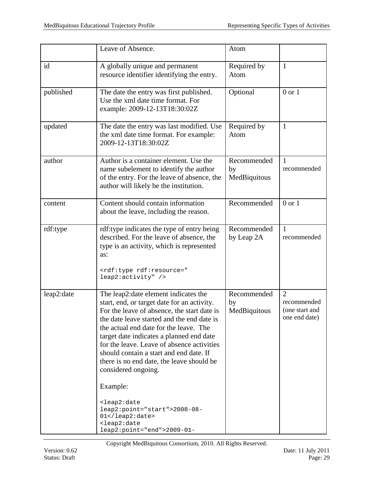|            | Leave of Absence.                                                                                                                                                                                                                                                                                                                                                                                                                                                                                                                                                                                       | Atom                              |                                                                  |
|------------|---------------------------------------------------------------------------------------------------------------------------------------------------------------------------------------------------------------------------------------------------------------------------------------------------------------------------------------------------------------------------------------------------------------------------------------------------------------------------------------------------------------------------------------------------------------------------------------------------------|-----------------------------------|------------------------------------------------------------------|
| id         | A globally unique and permanent<br>resource identifier identifying the entry.                                                                                                                                                                                                                                                                                                                                                                                                                                                                                                                           | Required by<br>Atom               | $\mathbf{1}$                                                     |
| published  | The date the entry was first published.<br>Use the xml date time format. For<br>example: 2009-12-13T18:30:02Z                                                                                                                                                                                                                                                                                                                                                                                                                                                                                           | Optional                          | $0$ or $1$                                                       |
| updated    | The date the entry was last modified. Use<br>the xml date time format. For example:<br>2009-12-13T18:30:02Z                                                                                                                                                                                                                                                                                                                                                                                                                                                                                             | Required by<br>Atom               | $\mathbf{1}$                                                     |
| author     | Author is a container element. Use the<br>name subelement to identify the author<br>of the entry. For the leave of absence, the<br>author will likely be the institution.                                                                                                                                                                                                                                                                                                                                                                                                                               | Recommended<br>by<br>MedBiquitous | 1<br>recommended                                                 |
| content    | Content should contain information<br>about the leave, including the reason.                                                                                                                                                                                                                                                                                                                                                                                                                                                                                                                            | Recommended                       | $0$ or $1$                                                       |
| rdf:type   | rdf:type indicates the type of entry being<br>described. For the leave of absence, the<br>type is an activity, which is represented<br>as:<br><rdf:type rdf:resource="&lt;br&gt;leap2:activity"></rdf:type>                                                                                                                                                                                                                                                                                                                                                                                             | Recommended<br>by Leap 2A         | $\mathbf{1}$<br>recommended                                      |
| leap2:date | The leap2:date element indicates the<br>start, end, or target date for an activity.<br>For the leave of absence, the start date is<br>the date leave started and the end date is<br>the actual end date for the leave. The<br>target date indicates a planned end date<br>for the leave. Leave of absence activities<br>should contain a start and end date. If<br>there is no end date, the leave should be<br>considered ongoing.<br>Example:<br><leap2:date<br>leap2:point="start"&gt;2008-08-<br/><math>01</math> <br/><leap2:date<br>leap2:point="end"&gt;2009-01-</leap2:date<br></leap2:date<br> | Recommended<br>by<br>MedBiquitous | $\overline{2}$<br>recommended<br>(one start and<br>one end date) |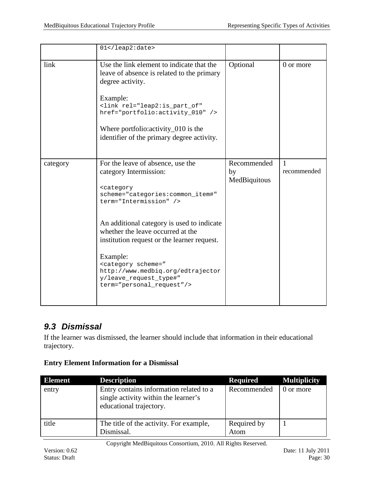|          | $01$                                                                                                                                                                                                                                                                                          |                                   |                             |
|----------|-----------------------------------------------------------------------------------------------------------------------------------------------------------------------------------------------------------------------------------------------------------------------------------------------|-----------------------------------|-----------------------------|
| link     | Use the link element to indicate that the<br>leave of absence is related to the primary<br>degree activity.<br>Example:<br><link <br="" rel="leap2:is_part_of"/> href="portfolio:activity_010" /><br>Where portfolio: activity_010 is the<br>identifier of the primary degree activity.       | Optional                          | 0 or more                   |
| category | For the leave of absence, use the<br>category Intermission:<br><category<br>scheme="categories:common_item#"<br/>term="Intermission" /&gt;<br/>An additional category is used to indicate<br/>whether the leave occurred at the<br/>institution request or the learner request.</category<br> | Recommended<br>by<br>MedBiquitous | $\mathbf{1}$<br>recommended |
|          | Example:<br><category <br="" scheme="&lt;br&gt;http://www.medbiq.org/edtrajector&lt;br&gt;y/leave_request_type#">term="personal_request"/&gt;</category>                                                                                                                                      |                                   |                             |

### <span id="page-29-0"></span>*9.3 Dismissal*

If the learner was dismissed, the learner should include that information in their educational trajectory.

| <b>Element</b> | <b>Description</b>                                                                                         | <b>Required</b>     | <b>Multiplicity</b> |
|----------------|------------------------------------------------------------------------------------------------------------|---------------------|---------------------|
| entry          | Entry contains information related to a<br>single activity within the learner's<br>educational trajectory. | Recommended         | 0 or more           |
| title          | The title of the activity. For example,<br>Dismissal.                                                      | Required by<br>Atom |                     |

#### **Entry Element Information for a Dismissal**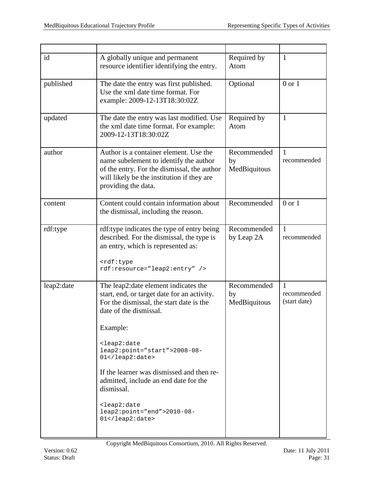| id         | A globally unique and permanent<br>resource identifier identifying the entry.                                                                                                                                                                                                                                                                                                                                                                                                                                  | Required by<br>Atom               | $\mathbf{1}$                                |
|------------|----------------------------------------------------------------------------------------------------------------------------------------------------------------------------------------------------------------------------------------------------------------------------------------------------------------------------------------------------------------------------------------------------------------------------------------------------------------------------------------------------------------|-----------------------------------|---------------------------------------------|
| published  | The date the entry was first published.<br>Use the xml date time format. For<br>example: 2009-12-13T18:30:02Z                                                                                                                                                                                                                                                                                                                                                                                                  | Optional                          | $0$ or $1$                                  |
| updated    | The date the entry was last modified. Use<br>the xml date time format. For example:<br>2009-12-13T18:30:02Z                                                                                                                                                                                                                                                                                                                                                                                                    | Required by<br>Atom               | $\mathbf{1}$                                |
| author     | Author is a container element. Use the<br>name subelement to identify the author<br>of the entry. For the dismissal, the author<br>will likely be the institution if they are<br>providing the data.                                                                                                                                                                                                                                                                                                           | Recommended<br>by<br>MedBiquitous | 1<br>recommended                            |
| content    | Content could contain information about<br>the dismissal, including the reason.                                                                                                                                                                                                                                                                                                                                                                                                                                | Recommended                       | $0$ or $1$                                  |
| rdf:type   | rdf:type indicates the type of entry being<br>described. For the dismissal, the type is<br>an entry, which is represented as:<br><rdf:type<br>rdf:resource="leap2:entry" /&gt;</rdf:type<br>                                                                                                                                                                                                                                                                                                                   | Recommended<br>by Leap 2A         | $\mathbf{1}$<br>recommended                 |
| leap2:date | The leap2:date element indicates the<br>start, end, or target date for an activity.<br>For the dismissal, the start date is the<br>date of the dismissal.<br>Example:<br><leap2:date<br>leap2:point="start"&gt;2008-08-<br/>01<br/>If the learner was dismissed and then re-<br/>admitted, include an end date for the<br/>dismissal.<br/><leap2:date<br><math>leap2:point="end" &gt; 2010-08-</math><br/><math>01</math> &lt; / <math>1</math> eap <math>2</math> : date &gt;</leap2:date<br></leap2:date<br> | Recommended<br>by<br>MedBiquitous | $\mathbf{1}$<br>recommended<br>(start date) |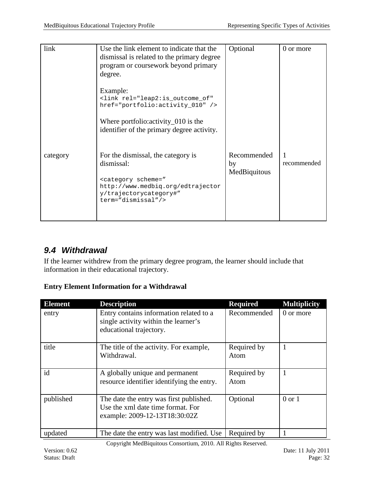| link     | Use the link element to indicate that the<br>dismissal is related to the primary degree<br>program or coursework beyond primary<br>degree.                                                | Optional                          | 0 or more   |
|----------|-------------------------------------------------------------------------------------------------------------------------------------------------------------------------------------------|-----------------------------------|-------------|
|          | Example:<br><link <br="" rel="leap2:is_outcome_of"/> href="portfolio:activity_010" /><br>Where portfolio: activity $\sim$ 010 is the<br>identifier of the primary degree activity.        |                                   |             |
| category | For the dismissal, the category is<br>dismissal:<br><category <br="" scheme="&lt;br&gt;http://www.medbiq.org/edtrajector&lt;br&gt;y/trajectorycategory#">term="dismissal"/&gt;</category> | Recommended<br>by<br>MedBiquitous | recommended |

### <span id="page-31-0"></span>*9.4 Withdrawal*

If the learner withdrew from the primary degree program, the learner should include that information in their educational trajectory.

#### **Entry Element Information for a Withdrawal**

| <b>Element</b> | <b>Description</b>                                                                                            | <b>Required</b>     | <b>Multiplicity</b> |
|----------------|---------------------------------------------------------------------------------------------------------------|---------------------|---------------------|
| entry          | Entry contains information related to a<br>single activity within the learner's<br>educational trajectory.    | Recommended         | 0 or more           |
| title          | The title of the activity. For example,<br>Withdrawal.                                                        | Required by<br>Atom |                     |
| id             | A globally unique and permanent<br>resource identifier identifying the entry.                                 | Required by<br>Atom |                     |
| published      | The date the entry was first published.<br>Use the xml date time format. For<br>example: 2009-12-13T18:30:02Z | Optional            | $0 \text{ or } 1$   |
| updated        | The date the entry was last modified. Use                                                                     | Required by         |                     |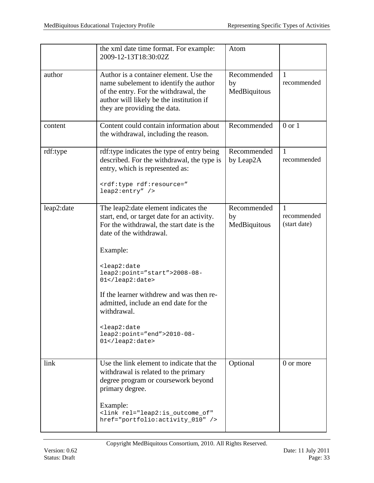|            | the xml date time format. For example:<br>2009-12-13T18:30:02Z                                                                                                                                                                                                                                                                                                                                                                                                                                                    | Atom                              |                                               |
|------------|-------------------------------------------------------------------------------------------------------------------------------------------------------------------------------------------------------------------------------------------------------------------------------------------------------------------------------------------------------------------------------------------------------------------------------------------------------------------------------------------------------------------|-----------------------------------|-----------------------------------------------|
| author     | Author is a container element. Use the<br>name subelement to identify the author<br>of the entry. For the withdrawal, the<br>author will likely be the institution if<br>they are providing the data.                                                                                                                                                                                                                                                                                                             | Recommended<br>by<br>MedBiquitous | -1<br>recommended                             |
| content    | Content could contain information about<br>the withdrawal, including the reason.                                                                                                                                                                                                                                                                                                                                                                                                                                  | Recommended                       | $0 \text{ or } 1$                             |
| rdf:type   | rdf:type indicates the type of entry being<br>described. For the withdrawal, the type is<br>entry, which is represented as:<br><rdf:type rdf:resource="&lt;br&gt;leap2:entry"></rdf:type>                                                                                                                                                                                                                                                                                                                         | Recommended<br>by Leap2A          | $\mathbf{1}$<br>recommended                   |
| leap2:date | The leap2: date element indicates the<br>start, end, or target date for an activity.<br>For the withdrawal, the start date is the<br>date of the withdrawal.<br>Example:<br><leap2:date<br>leap2:point="start"&gt;2008-08-<br/>01<br/>If the learner withdrew and was then re-<br/>admitted, include an end date for the<br/>withdrawal.<br/><leap2:date<br><math>leap2:point="end" &gt; 2010-08-</math><br/><math>01</math> &lt; / <math>1</math> eap <math>2</math> : date &gt;</leap2:date<br></leap2:date<br> | Recommended<br>by<br>MedBiquitous | $\overline{1}$<br>recommended<br>(start date) |
| link       | Use the link element to indicate that the<br>withdrawal is related to the primary<br>degree program or coursework beyond<br>primary degree.<br>Example:<br><link <br="" rel="leap2:is_outcome_of"/> href="portfolio:activity_010" />                                                                                                                                                                                                                                                                              | Optional                          | 0 or more                                     |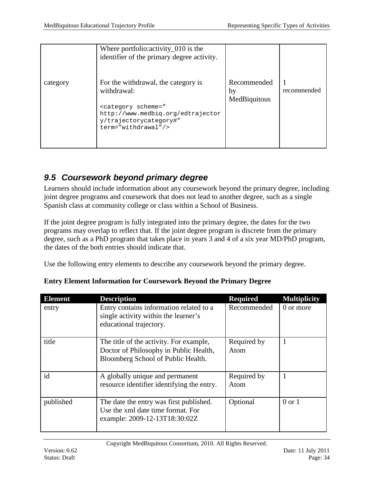|          | Where portfolio: activity_010 is the<br>identifier of the primary degree activity.                                                                                                           |                                   |             |
|----------|----------------------------------------------------------------------------------------------------------------------------------------------------------------------------------------------|-----------------------------------|-------------|
| category | For the withdrawal, the category is<br>withdrawal:<br><category <br="" scheme="&lt;br&gt;http://www.medbiq.org/edtrajector&lt;br&gt;y/trajectorycategory#">term="withdrawal"/&gt;</category> | Recommended<br>by<br>MedBiquitous | recommended |

### <span id="page-33-0"></span>*9.5 Coursework beyond primary degree*

Learners should include information about any coursework beyond the primary degree, including joint degree programs and coursework that does not lead to another degree, such as a single Spanish class at community college or class within a School of Business.

If the joint degree program is fully integrated into the primary degree, the dates for the two programs may overlap to reflect that. If the joint degree program is discrete from the primary degree, such as a PhD program that takes place in years 3 and 4 of a six year MD/PhD program, the dates of the both entries should indicate that.

Use the following entry elements to describe any coursework beyond the primary degree.

| <b>Element</b> | <b>Description</b>                                                                                                      | <b>Required</b>     | <b>Multiplicity</b> |
|----------------|-------------------------------------------------------------------------------------------------------------------------|---------------------|---------------------|
| entry          | Entry contains information related to a<br>single activity within the learner's<br>educational trajectory.              | Recommended         | 0 or more           |
| title          | The title of the activity. For example,<br>Doctor of Philosophy in Public Health,<br>Bloomberg School of Public Health. | Required by<br>Atom |                     |
| id             | A globally unique and permanent<br>resource identifier identifying the entry.                                           | Required by<br>Atom |                     |
| published      | The date the entry was first published.<br>Use the xml date time format. For<br>example: 2009-12-13T18:30:02Z           | Optional            | $0$ or $1$          |

**Entry Element Information for Coursework Beyond the Primary Degree**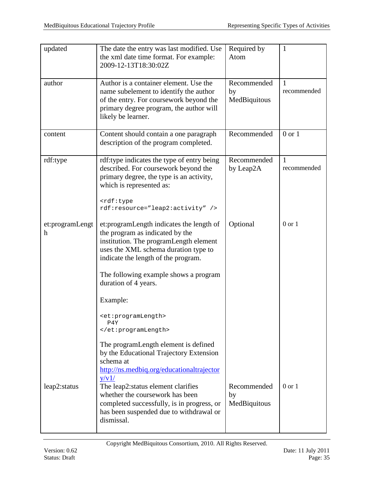| updated                                      | The date the entry was last modified. Use<br>the xml date time format. For example:<br>2009-12-13T18:30:02Z                                                                                            | Required by<br>Atom               | 1                           |
|----------------------------------------------|--------------------------------------------------------------------------------------------------------------------------------------------------------------------------------------------------------|-----------------------------------|-----------------------------|
| author                                       | Author is a container element. Use the<br>name subelement to identify the author<br>of the entry. For coursework beyond the<br>primary degree program, the author will<br>likely be learner.           | Recommended<br>by<br>MedBiquitous | $\mathbf{1}$<br>recommended |
| content                                      | Content should contain a one paragraph<br>description of the program completed.                                                                                                                        | Recommended                       | $0$ or $1$                  |
| rdf:type                                     | rdf:type indicates the type of entry being<br>described. For coursework beyond the<br>primary degree, the type is an activity,<br>which is represented as:                                             | Recommended<br>by Leap2A          | $\mathbf{1}$<br>recommended |
|                                              | <rdf:type<br>rdf:resource="leap2:activity" /&gt;</rdf:type<br>                                                                                                                                         |                                   |                             |
| et:programLengt<br>$\boldsymbol{\mathrm{h}}$ | et: program Length indicates the length of<br>the program as indicated by the<br>institution. The programLength element<br>uses the XML schema duration type to<br>indicate the length of the program. | Optional                          | $0$ or $1$                  |
|                                              | The following example shows a program<br>duration of 4 years.                                                                                                                                          |                                   |                             |
|                                              | Example:                                                                                                                                                                                               |                                   |                             |
|                                              | <et:programlength><br/>P4Y<br/></et:programlength>                                                                                                                                                     |                                   |                             |
|                                              | The programLength element is defined<br>by the Educational Trajectory Extension<br>schema at<br>http://ns.medbiq.org/educationaltrajector<br>y/v1/                                                     |                                   |                             |
| leap2:status                                 | The leap2:status element clarifies<br>whether the coursework has been<br>completed successfully, is in progress, or<br>has been suspended due to withdrawal or<br>dismissal.                           | Recommended<br>by<br>MedBiquitous | $0$ or $1$                  |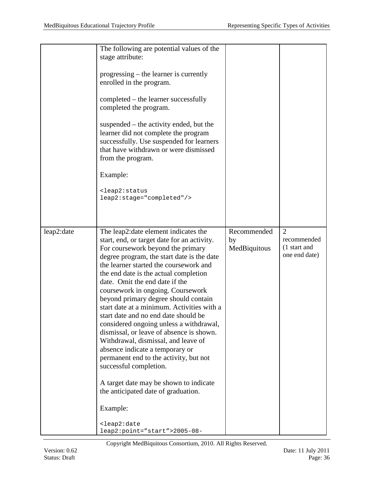|            | The following are potential values of the<br>stage attribute:<br>progressing – the learner is currently<br>enrolled in the program.<br>completed – the learner successfully<br>completed the program.<br>suspended – the activity ended, but the<br>learner did not complete the program<br>successfully. Use suspended for learners<br>that have withdrawn or were dismissed<br>from the program.<br>Example:<br><leap2:status<br>leap2:stage="completed"/&gt;</leap2:status<br>                                                                                                                                                                                                                                                                                                                                                                                   |                                   |                                                                |
|------------|---------------------------------------------------------------------------------------------------------------------------------------------------------------------------------------------------------------------------------------------------------------------------------------------------------------------------------------------------------------------------------------------------------------------------------------------------------------------------------------------------------------------------------------------------------------------------------------------------------------------------------------------------------------------------------------------------------------------------------------------------------------------------------------------------------------------------------------------------------------------|-----------------------------------|----------------------------------------------------------------|
| leap2:date | The leap2: date element indicates the<br>start, end, or target date for an activity.<br>For coursework beyond the primary<br>degree program, the start date is the date<br>the learner started the coursework and<br>the end date is the actual completion<br>date. Omit the end date if the<br>coursework in ongoing. Coursework<br>beyond primary degree should contain<br>start date at a minimum. Activities with a<br>start date and no end date should be<br>considered ongoing unless a withdrawal,<br>dismissal, or leave of absence is shown.<br>Withdrawal, dismissal, and leave of<br>absence indicate a temporary or<br>permanent end to the activity, but not<br>successful completion.<br>A target date may be shown to indicate<br>the anticipated date of graduation.<br>Example:<br><leap2:date<br>leap2:point="start"&gt;2005-08-</leap2:date<br> | Recommended<br>by<br>MedBiquitous | $\overline{2}$<br>recommended<br>(1 start and<br>one end date) |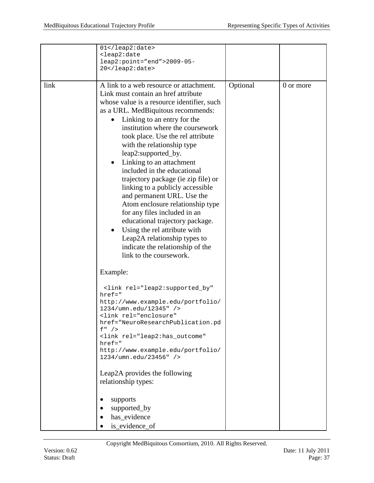|      | 01<br><leap2:date<br>leap2:point="end"&gt;2009-05-<br/>20</leap2:date<br>                                                                                                                                                                                                                                                                                                                                                                                                                                                                                                                                                                                                                                                                                |          |           |
|------|----------------------------------------------------------------------------------------------------------------------------------------------------------------------------------------------------------------------------------------------------------------------------------------------------------------------------------------------------------------------------------------------------------------------------------------------------------------------------------------------------------------------------------------------------------------------------------------------------------------------------------------------------------------------------------------------------------------------------------------------------------|----------|-----------|
| link | A link to a web resource or attachment.<br>Link must contain an href attribute<br>whose value is a resource identifier, such<br>as a URL. MedBiquitous recommends:<br>Linking to an entry for the<br>٠<br>institution where the coursework<br>took place. Use the rel attribute<br>with the relationship type<br>leap2:supported_by.<br>Linking to an attachment<br>٠<br>included in the educational<br>trajectory package (ie zip file) or<br>linking to a publicly accessible<br>and permanent URL. Use the<br>Atom enclosure relationship type<br>for any files included in an<br>educational trajectory package.<br>Using the rel attribute with<br>٠<br>Leap2A relationship types to<br>indicate the relationship of the<br>link to the coursework. | Optional | 0 or more |
|      | Example:                                                                                                                                                                                                                                                                                                                                                                                                                                                                                                                                                                                                                                                                                                                                                 |          |           |
|      | <link <br="" rel="leap2:supported_by"/> $href = "$<br>http://www.example.edu/portfolio/<br>1234/umn.edu/12345" /><br><link <br="" rel="enclosure"/> href="NeuroResearchPublication.pd<br>$f''$ /><br><link <br="" rel="leap2:has_outcome"/> $href='$<br>http://www.example.edu/portfolio/<br>1234/umn.edu/23456" /><br>Leap2A provides the following<br>relationship types:<br>supports                                                                                                                                                                                                                                                                                                                                                                  |          |           |
|      | supported_by<br>has_evidence<br>is_evidence_of                                                                                                                                                                                                                                                                                                                                                                                                                                                                                                                                                                                                                                                                                                           |          |           |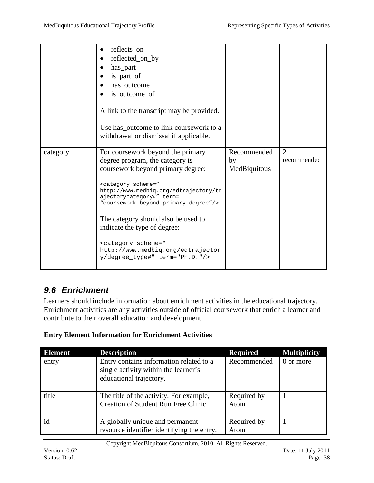|          | reflects_on<br>reflected_on_by<br>has_part<br>is_part_of<br>has_outcome<br>is_outcome_of<br>A link to the transcript may be provided.<br>Use has_outcome to link coursework to a                                                                                                                                                                                                                                                                                         |                                   |                               |
|----------|--------------------------------------------------------------------------------------------------------------------------------------------------------------------------------------------------------------------------------------------------------------------------------------------------------------------------------------------------------------------------------------------------------------------------------------------------------------------------|-----------------------------------|-------------------------------|
|          | withdrawal or dismissal if applicable.                                                                                                                                                                                                                                                                                                                                                                                                                                   |                                   |                               |
| category | For coursework beyond the primary<br>degree program, the category is<br>coursework beyond primary degree:<br><category scheme="&lt;br&gt;http://www.medbiq.org/edtrajectory/tr&lt;br&gt;ajectorycategory#" term="&lt;br">"coursework beyond primary degree"/&gt;<br/>The category should also be used to<br/>indicate the type of degree:<br/><category scheme="&lt;br&gt;http://www.medbiq.org/edtrajector&lt;br&gt;y/degree_type#" term="Ph.D."></category></category> | Recommended<br>by<br>MedBiquitous | $\overline{2}$<br>recommended |

### <span id="page-37-0"></span>*9.6 Enrichment*

Learners should include information about enrichment activities in the educational trajectory. Enrichment activities are any activities outside of official coursework that enrich a learner and contribute to their overall education and development.

### **Entry Element Information for Enrichment Activities**

| <b>Element</b> | <b>Description</b>                                                                                         | <b>Required</b>     | <b>Multiplicity</b> |
|----------------|------------------------------------------------------------------------------------------------------------|---------------------|---------------------|
| entry          | Entry contains information related to a<br>single activity within the learner's<br>educational trajectory. | Recommended         | 0 or more           |
| title          | The title of the activity. For example,<br>Creation of Student Run Free Clinic.                            | Required by<br>Atom |                     |
| id             | A globally unique and permanent<br>resource identifier identifying the entry.                              | Required by<br>Atom |                     |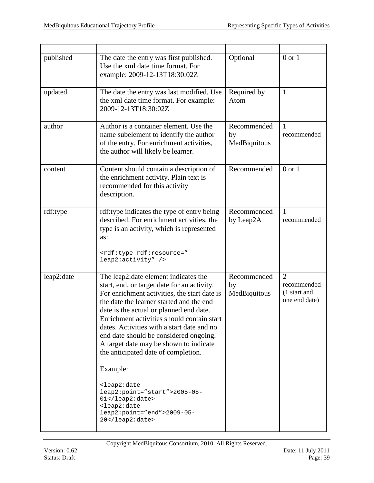| published  | The date the entry was first published.<br>Use the xml date time format. For<br>example: 2009-12-13T18:30:02Z                                                                                                                                                                                                                                                                                                                                                                                                                                                                                                                               | Optional                          | $0$ or $1$                                                     |
|------------|---------------------------------------------------------------------------------------------------------------------------------------------------------------------------------------------------------------------------------------------------------------------------------------------------------------------------------------------------------------------------------------------------------------------------------------------------------------------------------------------------------------------------------------------------------------------------------------------------------------------------------------------|-----------------------------------|----------------------------------------------------------------|
| updated    | The date the entry was last modified. Use<br>the xml date time format. For example:<br>2009-12-13T18:30:02Z                                                                                                                                                                                                                                                                                                                                                                                                                                                                                                                                 | Required by<br>Atom               | $\mathbf{1}$                                                   |
| author     | Author is a container element. Use the<br>name subelement to identify the author<br>of the entry. For enrichment activities,<br>the author will likely be learner.                                                                                                                                                                                                                                                                                                                                                                                                                                                                          | Recommended<br>by<br>MedBiquitous | $\mathbf{1}$<br>recommended                                    |
| content    | Content should contain a description of<br>the enrichment activity. Plain text is<br>recommended for this activity<br>description.                                                                                                                                                                                                                                                                                                                                                                                                                                                                                                          | Recommended                       | $0$ or $1$                                                     |
| rdf:type   | rdf:type indicates the type of entry being<br>described. For enrichment activities, the<br>type is an activity, which is represented<br>as:<br><rdf:type rdf:resource="&lt;br&gt;leap2:activity"></rdf:type>                                                                                                                                                                                                                                                                                                                                                                                                                                | Recommended<br>by Leap2A          | 1<br>recommended                                               |
| leap2:date | The leap2:date element indicates the<br>start, end, or target date for an activity.<br>For enrichment activities, the start date is<br>the date the learner started and the end<br>date is the actual or planned end date.<br>Enrichment activities should contain start<br>dates. Activities with a start date and no<br>end date should be considered ongoing.<br>A target date may be shown to indicate<br>the anticipated date of completion.<br>Example:<br><leap2:date<br>leap2:point="start"&gt;2005-08-<br/><math>01</math> <br/><leap2:date<br><math>leap2:point="end" &gt; 2009-05-</math><br/>20</leap2:date<br></leap2:date<br> | Recommended<br>by<br>MedBiquitous | $\overline{2}$<br>recommended<br>(1 start and<br>one end date) |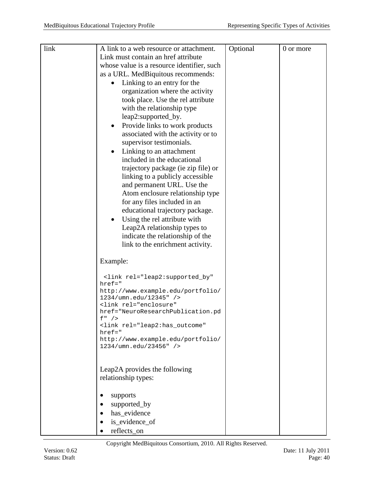| link | A link to a web resource or attachment.                        | Optional | 0 or more |
|------|----------------------------------------------------------------|----------|-----------|
|      | Link must contain an href attribute                            |          |           |
|      | whose value is a resource identifier, such                     |          |           |
|      | as a URL. MedBiquitous recommends:                             |          |           |
|      | Linking to an entry for the                                    |          |           |
|      | organization where the activity                                |          |           |
|      | took place. Use the rel attribute                              |          |           |
|      | with the relationship type                                     |          |           |
|      | leap2:supported_by.                                            |          |           |
|      | Provide links to work products                                 |          |           |
|      | associated with the activity or to                             |          |           |
|      | supervisor testimonials.                                       |          |           |
|      | Linking to an attachment<br>$\bullet$                          |          |           |
|      | included in the educational                                    |          |           |
|      | trajectory package (ie zip file) or                            |          |           |
|      | linking to a publicly accessible                               |          |           |
|      | and permanent URL. Use the                                     |          |           |
|      | Atom enclosure relationship type                               |          |           |
|      | for any files included in an                                   |          |           |
|      | educational trajectory package.                                |          |           |
|      | Using the rel attribute with                                   |          |           |
|      | Leap2A relationship types to                                   |          |           |
|      | indicate the relationship of the                               |          |           |
|      | link to the enrichment activity.                               |          |           |
|      |                                                                |          |           |
|      | Example:                                                       |          |           |
|      |                                                                |          |           |
|      | <link <br="" rel="leap2:supported_by"/> $href='$               |          |           |
|      | http://www.example.edu/portfolio/                              |          |           |
|      | 1234/umn.edu/12345" />                                         |          |           |
|      | <link <="" rel="enclosure" td=""/> <td></td> <td></td>         |          |           |
|      | href="NeuroResearchPublication.pd<br>$f''$ />                  |          |           |
|      | <link <="" rel="leap2:has_outcome" td=""/> <td></td> <td></td> |          |           |
|      | $href='$                                                       |          |           |
|      | http://www.example.edu/portfolio/<br>1234/umn.edu/23456" />    |          |           |
|      |                                                                |          |           |
|      |                                                                |          |           |
|      | Leap2A provides the following                                  |          |           |
|      | relationship types:                                            |          |           |
|      | supports                                                       |          |           |
|      | supported_by                                                   |          |           |
|      | has_evidence                                                   |          |           |
|      | is_evidence_of                                                 |          |           |
|      | reflects_on                                                    |          |           |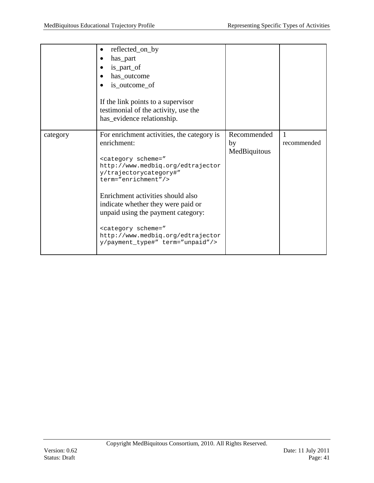|          | reflected_on_by<br>has_part<br>is_part_of<br>has_outcome<br>is_outcome_of<br>If the link points to a supervisor<br>testimonial of the activity, use the<br>has_evidence relationship.                                                                                                                                                                                                                                                         |                                   |                  |
|----------|-----------------------------------------------------------------------------------------------------------------------------------------------------------------------------------------------------------------------------------------------------------------------------------------------------------------------------------------------------------------------------------------------------------------------------------------------|-----------------------------------|------------------|
| category | For enrichment activities, the category is<br>enrichment:<br><category <br="" scheme="&lt;br&gt;http://www.medbiq.org/edtrajector&lt;br&gt;y/trajectorycategory#">term="enrichment"/&gt;<br/>Enrichment activities should also<br/>indicate whether they were paid or<br/>unpaid using the payment category:<br/><category scheme="&lt;br&gt;http://www.medbiq.org/edtrajector&lt;br&gt;y/payment_type#" term="unpaid"></category></category> | Recommended<br>by<br>MedBiquitous | 1<br>recommended |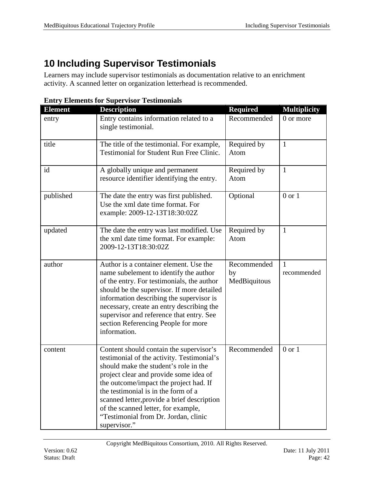# <span id="page-41-0"></span>**10 Including Supervisor Testimonials**

Learners may include supervisor testimonials as documentation relative to an enrichment activity. A scanned letter on organization letterhead is recommended.

| <b>Element</b> | Linu y Lietuenes for Supervisor resemblingen<br><b>Description</b> | <b>Required</b> | <b>Multiplicity</b> |
|----------------|--------------------------------------------------------------------|-----------------|---------------------|
|                |                                                                    |                 |                     |
| entry          | Entry contains information related to a                            | Recommended     | 0 or more           |
|                | single testimonial.                                                |                 |                     |
|                |                                                                    |                 |                     |
| title          | The title of the testimonial. For example,                         | Required by     | $\mathbf{1}$        |
|                | Testimonial for Student Run Free Clinic.                           | Atom            |                     |
|                |                                                                    |                 |                     |
| id             | A globally unique and permanent                                    | Required by     | $\mathbf{1}$        |
|                | resource identifier identifying the entry.                         | Atom            |                     |
|                |                                                                    |                 |                     |
| published      | The date the entry was first published.                            | Optional        | $0$ or $1$          |
|                | Use the xml date time format. For                                  |                 |                     |
|                | example: 2009-12-13T18:30:02Z                                      |                 |                     |
|                |                                                                    |                 |                     |
| updated        | The date the entry was last modified. Use                          | Required by     | $\mathbf{1}$        |
|                | the xml date time format. For example:                             | Atom            |                     |
|                | 2009-12-13T18:30:02Z                                               |                 |                     |
|                |                                                                    |                 |                     |
| author         | Author is a container element. Use the                             | Recommended     | 1                   |
|                | name subelement to identify the author                             | by              | recommended         |
|                | of the entry. For testimonials, the author                         | MedBiquitous    |                     |
|                |                                                                    |                 |                     |
|                | should be the supervisor. If more detailed                         |                 |                     |
|                | information describing the supervisor is                           |                 |                     |
|                | necessary, create an entry describing the                          |                 |                     |
|                | supervisor and reference that entry. See                           |                 |                     |
|                | section Referencing People for more                                |                 |                     |
|                | information.                                                       |                 |                     |
|                |                                                                    |                 |                     |
| content        | Content should contain the supervisor's                            | Recommended     | $0$ or $1$          |
|                | testimonial of the activity. Testimonial's                         |                 |                     |
|                | should make the student's role in the                              |                 |                     |
|                | project clear and provide some idea of                             |                 |                     |
|                | the outcome/impact the project had. If                             |                 |                     |
|                | the testimonial is in the form of a                                |                 |                     |
|                | scanned letter, provide a brief description                        |                 |                     |
|                | of the scanned letter, for example,                                |                 |                     |
|                | "Testimonial from Dr. Jordan, clinic                               |                 |                     |
|                | supervisor."                                                       |                 |                     |

**Entry Elements for Supervisor Testimonials**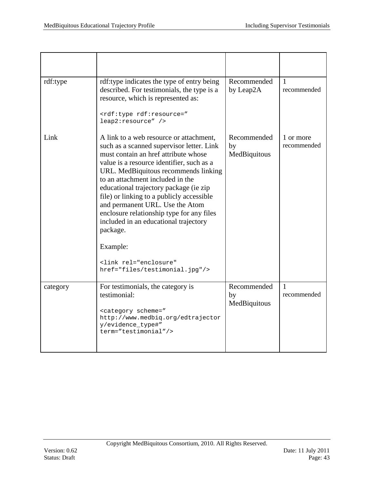| rdf:type | rdf:type indicates the type of entry being<br>described. For testimonials, the type is a<br>resource, which is represented as:<br><rdf:type rdf:resource="&lt;br&gt;leap2:resource"></rdf:type>                                                                                                                                                                                                                                                                                                                                                                | Recommended<br>by Leap2A          | 1<br>recommended            |
|----------|----------------------------------------------------------------------------------------------------------------------------------------------------------------------------------------------------------------------------------------------------------------------------------------------------------------------------------------------------------------------------------------------------------------------------------------------------------------------------------------------------------------------------------------------------------------|-----------------------------------|-----------------------------|
| Link     | A link to a web resource or attachment,<br>such as a scanned supervisor letter. Link<br>must contain an href attribute whose<br>value is a resource identifier, such as a<br>URL. MedBiquitous recommends linking<br>to an attachment included in the<br>educational trajectory package (ie zip<br>file) or linking to a publicly accessible<br>and permanent URL. Use the Atom<br>enclosure relationship type for any files<br>included in an educational trajectory<br>package.<br>Example:<br><link <br="" rel="enclosure"/> href="files/testimonial.jpg"/> | Recommended<br>by<br>MedBiquitous | 1 or more<br>recommended    |
| category | For testimonials, the category is<br>testimonial:<br><category <br="" scheme="&lt;br&gt;http://www.medbiq.org/edtrajector&lt;br&gt;y/evidence_type#">term="testimonial"/&gt;</category>                                                                                                                                                                                                                                                                                                                                                                        | Recommended<br>by<br>MedBiquitous | $\mathbf{1}$<br>recommended |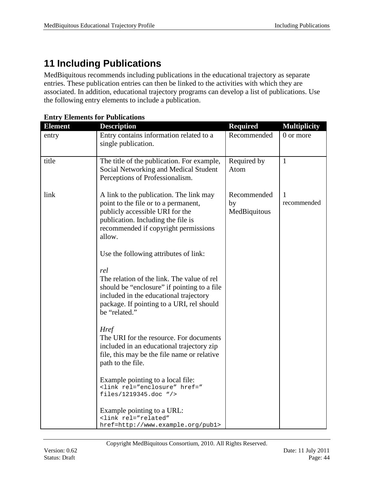# <span id="page-43-0"></span>**11 Including Publications**

MedBiquitous recommends including publications in the educational trajectory as separate entries. These publication entries can then be linked to the activities with which they are associated. In addition, educational trajectory programs can develop a list of publications. Use the following entry elements to include a publication.

| <b>Element</b> | <b>Description</b>                                                                                                                                                                                         | <b>Required</b>                   | <b>Multiplicity</b> |
|----------------|------------------------------------------------------------------------------------------------------------------------------------------------------------------------------------------------------------|-----------------------------------|---------------------|
| entry          | Entry contains information related to a<br>single publication.                                                                                                                                             | Recommended                       | 0 or more           |
| title          | The title of the publication. For example,<br>Social Networking and Medical Student<br>Perceptions of Professionalism.                                                                                     | Required by<br>Atom               | $\mathbf{1}$        |
| link           | A link to the publication. The link may<br>point to the file or to a permanent,<br>publicly accessible URI for the<br>publication. Including the file is<br>recommended if copyright permissions<br>allow. | Recommended<br>by<br>MedBiquitous | 1<br>recommended    |
|                | Use the following attributes of link:                                                                                                                                                                      |                                   |                     |
|                | rel<br>The relation of the link. The value of rel<br>should be "enclosure" if pointing to a file<br>included in the educational trajectory<br>package. If pointing to a URI, rel should<br>be "related."   |                                   |                     |
|                | <b>Href</b><br>The URI for the resource. For documents<br>included in an educational trajectory zip<br>file, this may be the file name or relative<br>path to the file.                                    |                                   |                     |
|                | Example pointing to a local file:<br><link href="&lt;br&gt;files/1219345.doc " rel="enclosure"/>                                                                                                           |                                   |                     |
|                | Example pointing to a URL:<br><link <br="" rel="related"/> href=http://www.example.org/publ>                                                                                                               |                                   |                     |

#### **Entry Elements for Publications**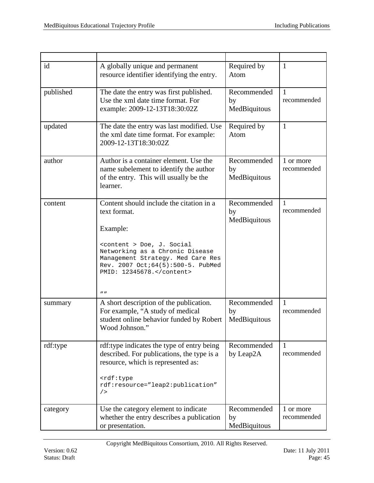| id        | A globally unique and permanent<br>resource identifier identifying the entry.                                                                                                                 | Required by<br>Atom                                              | $\mathbf{1}$                |
|-----------|-----------------------------------------------------------------------------------------------------------------------------------------------------------------------------------------------|------------------------------------------------------------------|-----------------------------|
| published | The date the entry was first published.<br>Use the xml date time format. For<br>example: 2009-12-13T18:30:02Z                                                                                 | Recommended<br>$\mathbf{1}$<br>recommended<br>by<br>MedBiquitous |                             |
| updated   | The date the entry was last modified. Use<br>the xml date time format. For example:<br>2009-12-13T18:30:02Z                                                                                   | Required by<br>Atom                                              | $\mathbf{1}$                |
| author    | Author is a container element. Use the<br>name subelement to identify the author<br>of the entry. This will usually be the<br>learner.                                                        | Recommended<br>by<br>MedBiquitous                                | 1 or more<br>recommended    |
| content   | Content should include the citation in a<br>text format.<br>Example:<br><content> Doe, J. Social<br/>Networking as a Chronic Disease<br/>Management Strategy. Med Care Res</content>          | Recommended<br>by<br>MedBiquitous                                | 1<br>recommended            |
|           | Rev. 2007 Oct; 64(5): 500-5. PubMed<br>PMID: 12345678.<br>$^{\prime\prime}$                                                                                                                   |                                                                  |                             |
| summary   | A short description of the publication.<br>For example, "A study of medical<br>student online behavior funded by Robert<br>Wood Johnson."                                                     | Recommended<br>by<br>MedBiquitous                                | $\mathbf{1}$<br>recommended |
| rdf:type  | rdf:type indicates the type of entry being<br>described. For publications, the type is a<br>resource, which is represented as:<br><rdf:type<br>rdf:resource="leap2:publication"</rdf:type<br> | Recommended<br>by Leap2A                                         | $\mathbf{1}$<br>recommended |
|           | /                                                                                                                                                                                             |                                                                  |                             |
| category  | Use the category element to indicate<br>whether the entry describes a publication<br>or presentation.                                                                                         | Recommended<br>by<br>MedBiquitous                                | 1 or more<br>recommended    |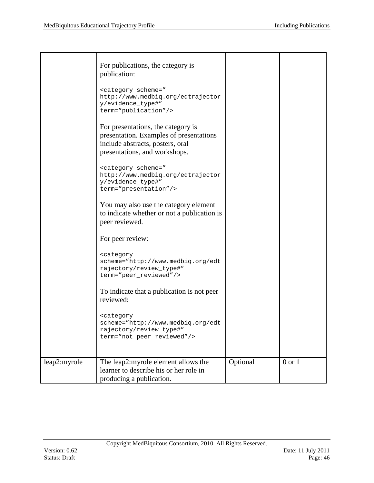|              | For publications, the category is<br>publication:<br><category <br="" scheme="&lt;br&gt;http://www.medbiq.org/edtrajector&lt;br&gt;y/evidence_type#">term="publication"/&gt;<br/>For presentations, the category is<br/>presentation. Examples of presentations<br/>include abstracts, posters, oral<br/>presentations, and workshops.<br/><category <br="" scheme="&lt;br&gt;http://www.medbiq.org/edtrajector&lt;br&gt;y/evidence_type#">term="presentation"/&gt;<br/>You may also use the category element<br/>to indicate whether or not a publication is<br/>peer reviewed.<br/>For peer review:<br/><category<br>scheme="http://www.medbiq.org/edt<br/>rajectory/review_type#"<br/>term="peer_reviewed"/&gt;<br/>To indicate that a publication is not peer<br/>reviewed:<br/><category<br>scheme="http://www.medbiq.org/edt<br/>rajectory/review_type#"<br/>term="not_peer_reviewed"/&gt;</category<br></category<br></category></category> |          |            |
|--------------|----------------------------------------------------------------------------------------------------------------------------------------------------------------------------------------------------------------------------------------------------------------------------------------------------------------------------------------------------------------------------------------------------------------------------------------------------------------------------------------------------------------------------------------------------------------------------------------------------------------------------------------------------------------------------------------------------------------------------------------------------------------------------------------------------------------------------------------------------------------------------------------------------------------------------------------------------|----------|------------|
| leap2:myrole | The leap2:myrole element allows the<br>learner to describe his or her role in<br>producing a publication.                                                                                                                                                                                                                                                                                                                                                                                                                                                                                                                                                                                                                                                                                                                                                                                                                                          | Optional | $0$ or $1$ |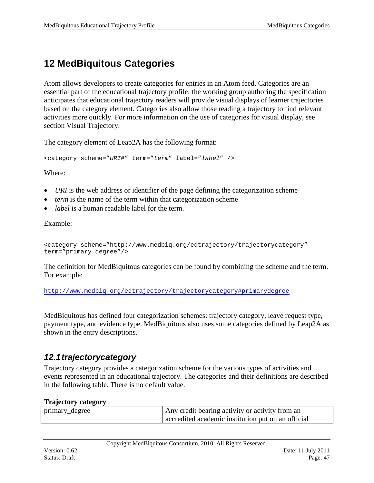# <span id="page-46-0"></span>**12 MedBiquitous Categories**

Atom allows developers to create categories for entries in an Atom feed. Categories are an essential part of the educational trajectory profile: the working group authoring the specification anticipates that educational trajectory readers will provide visual displays of learner trajectories based on the category element. Categories also allow those reading a trajectory to find relevant activities more quickly. For more information on the use of categories for visual display, see section Visual Trajectory.

The category element of Leap2A has the following format:

<category scheme="*URI*#" term="*term*" label="*label*" />

Where:

- *URI* is the web address or identifier of the page defining the categorization scheme
- *term* is the name of the term within that categorization scheme
- *label* is a human readable label for the term.

Example:

```
<category scheme="http://www.medbiq.org/edtrajectory/trajectorycategory"
term="primary_degree"/>
```
The definition for MedBiquitous categories can be found by combining the scheme and the term. For example:

<http://www.medbiq.org/edtrajectory/trajectorycategory#primarydegree>

MedBiquitous has defined four categorization schemes: trajectory category, leave request type, payment type, and evidence type. MedBiquitous also uses some categories defined by Leap2A as shown in the entry descriptions.

### <span id="page-46-1"></span>*12.1trajectorycategory*

Trajectory category provides a categorization scheme for the various types of activities and events represented in an educational trajectory. The categories and their definitions are described in the following table. There is no default value.

#### **Trajectory category**

| primary_degree | Any credit bearing activity or activity from an    |
|----------------|----------------------------------------------------|
|                | accredited academic institution put on an official |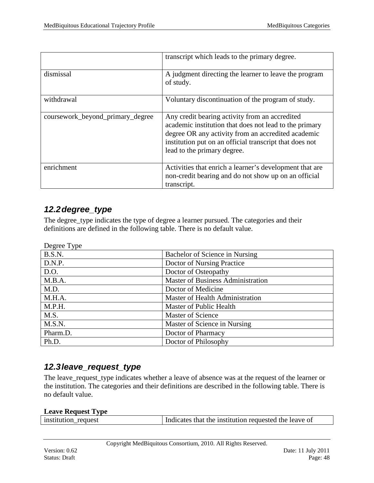|                                  | transcript which leads to the primary degree.                                                                                                                                                                                                            |
|----------------------------------|----------------------------------------------------------------------------------------------------------------------------------------------------------------------------------------------------------------------------------------------------------|
| dismissal                        | A judgment directing the learner to leave the program<br>of study.                                                                                                                                                                                       |
| withdrawal                       | Voluntary discontinuation of the program of study.                                                                                                                                                                                                       |
| coursework_beyond_primary_degree | Any credit bearing activity from an accredited<br>academic institution that does not lead to the primary<br>degree OR any activity from an accredited academic<br>institution put on an official transcript that does not<br>lead to the primary degree. |
| enrichment                       | Activities that enrich a learner's development that are<br>non-credit bearing and do not show up on an official<br>transcript.                                                                                                                           |

### <span id="page-47-0"></span>*12.2degree\_type*

The degree\_type indicates the type of degree a learner pursued. The categories and their definitions are defined in the following table. There is no default value.

| Degree Type |                                          |
|-------------|------------------------------------------|
| B.S.N.      | Bachelor of Science in Nursing           |
| D.N.P.      | Doctor of Nursing Practice               |
| D.O.        | Doctor of Osteopathy                     |
| M.B.A.      | <b>Master of Business Administration</b> |
| M.D.        | Doctor of Medicine                       |
| M.H.A.      | Master of Health Administration          |
| M.P.H.      | Master of Public Health                  |
| M.S.        | Master of Science                        |
| M.S.N.      | Master of Science in Nursing             |
| Pharm.D.    | Doctor of Pharmacy                       |
| Ph.D.       | Doctor of Philosophy                     |

### <span id="page-47-1"></span>*12.3leave\_request\_type*

The leave\_request\_type indicates whether a leave of absence was at the request of the learner or the institution. The categories and their definitions are described in the following table. There is no default value.

#### **Leave Request Type**

| institution_request | Indicates that the institution requested the leave of |
|---------------------|-------------------------------------------------------|
|                     |                                                       |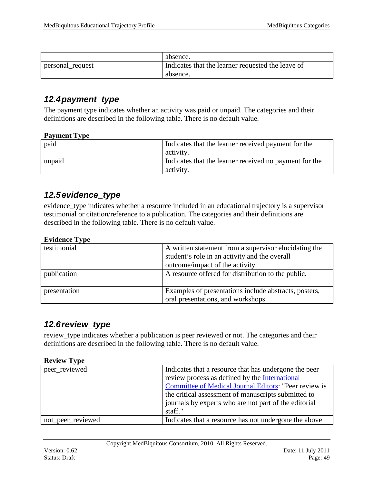|                  | absence.                                          |
|------------------|---------------------------------------------------|
| personal_request | Indicates that the learner requested the leave of |
|                  | absence.                                          |

### <span id="page-48-0"></span>*12.4payment\_type*

The payment type indicates whether an activity was paid or unpaid. The categories and their definitions are described in the following table. There is no default value.

#### **Payment Type**

| paid   | Indicates that the learner received payment for the<br>activity.    |
|--------|---------------------------------------------------------------------|
| unpaid | Indicates that the learner received no payment for the<br>activity. |

### <span id="page-48-1"></span>*12.5evidence\_type*

evidence\_type indicates whether a resource included in an educational trajectory is a supervisor testimonial or citation/reference to a publication. The categories and their definitions are described in the following table. There is no default value.

#### **Evidence Type**

| testimonial  | A written statement from a supervisor elucidating the<br>student's role in an activity and the overall<br>outcome/impact of the activity. |  |
|--------------|-------------------------------------------------------------------------------------------------------------------------------------------|--|
| publication  | A resource offered for distribution to the public.                                                                                        |  |
|              |                                                                                                                                           |  |
| presentation | Examples of presentations include abstracts, posters,<br>oral presentations, and workshops.                                               |  |

### <span id="page-48-2"></span>*12.6review\_type*

review\_type indicates whether a publication is peer reviewed or not. The categories and their definitions are described in the following table. There is no default value.

| peer_reviewed     | Indicates that a resource that has undergone the peer |  |
|-------------------|-------------------------------------------------------|--|
|                   | review process as defined by the International        |  |
|                   | Committee of Medical Journal Editors: "Peer review is |  |
|                   | the critical assessment of manuscripts submitted to   |  |
|                   | journals by experts who are not part of the editorial |  |
|                   | staff."                                               |  |
| not_peer_reviewed | Indicates that a resource has not undergone the above |  |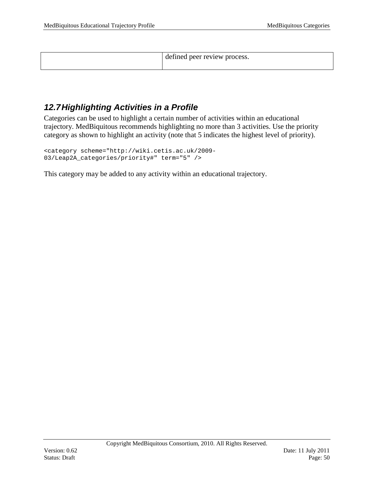defined peer review process.

### <span id="page-49-0"></span>*12.7Highlighting Activities in a Profile*

Categories can be used to highlight a certain number of activities within an educational trajectory. MedBiquitous recommends highlighting no more than 3 activities. Use the priority category as shown to highlight an activity (note that 5 indicates the highest level of priority).

```
<category scheme="http://wiki.cetis.ac.uk/2009-
03/Leap2A_categories/priority#" term="5" />
```
This category may be added to any activity within an educational trajectory.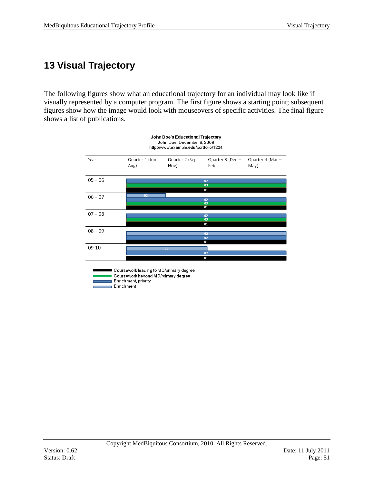# <span id="page-50-0"></span>**13 Visual Trajectory**

The following figures show what an educational trajectory for an individual may look like if visually represented by a computer program. The first figure shows a starting point; subsequent figures show how the image would look with mouseovers of specific activities. The final figure shows a list of publications.

John Doe's Educational Trajectory



Coursework leading to MD/primary degree Coursework beyond MD/primary degree Enrichment, priority Enrichment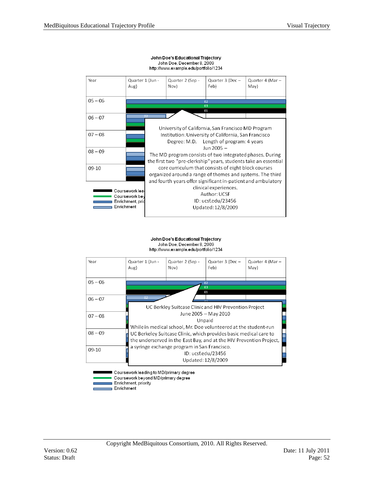

#### John Doe's Educational Trajectory John Doe, December 8, 2009 http://www.example.edu/portfolio/1234

John Doe's Educational Trajectory John Doe, December 8, 2009 http://www.example.edu/portfolio/1234



Coursework leading to MD/primary degree Coursework beyond MD/primary degree Enrichment, priority

Enrichment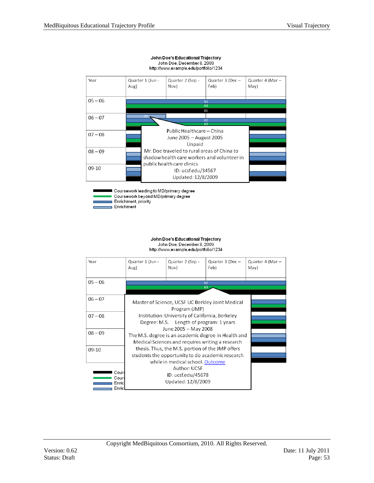| Year      | Quarter 1 (Jun -<br>Aug) | Quarter 2 (Sep -<br>Nov)                    | Quarter 3 (Dec -<br>Feb) | Quarter 4 (Mar -<br>May) |  |  |
|-----------|--------------------------|---------------------------------------------|--------------------------|--------------------------|--|--|
| $05 - 06$ |                          |                                             |                          |                          |  |  |
|           | 02                       |                                             |                          |                          |  |  |
|           | 03<br>01                 |                                             |                          |                          |  |  |
|           |                          |                                             |                          |                          |  |  |
| $06 - 07$ | 02                       |                                             | 02                       |                          |  |  |
|           | 03                       |                                             |                          |                          |  |  |
|           |                          | Public Healthcare - China                   |                          |                          |  |  |
| $07 - 08$ |                          |                                             |                          |                          |  |  |
|           | June 2005 - August 2005  |                                             |                          |                          |  |  |
|           |                          | Unpaid                                      |                          |                          |  |  |
| $08 - 09$ |                          | Mr. Doe traveled to rural areas of China to |                          |                          |  |  |
|           |                          |                                             |                          |                          |  |  |
|           |                          | shadow health care workers and volunteer in |                          |                          |  |  |
|           |                          | public health care clinics                  |                          |                          |  |  |
| 09-10     | ID: ucsf.edu/34567       |                                             |                          |                          |  |  |
|           |                          | Updated: 12/8/2009                          |                          |                          |  |  |
|           |                          |                                             |                          |                          |  |  |

#### John Doe's Educational Trajectory John Doe, December 8, 2009<br>http://www.example.edu/portfolio/1234

Coursework beyond MD/primary degree Enrichment, priority

Coursework leading to MD/primary degree

Enrichment

John Doe's Educational Trajectory John Doe, December 8, 2009 http://www.example.edu/portfolio/1234

| Year                            | Quarter 1 (Jun -<br>Aug)                                                                                                                 | Quarter 2 (Sep -<br>Nov) | Quarter 3 (Dec -<br>Feb) | Quarter 4 (Mar -<br>May) |  |  |
|---------------------------------|------------------------------------------------------------------------------------------------------------------------------------------|--------------------------|--------------------------|--------------------------|--|--|
|                                 |                                                                                                                                          |                          |                          |                          |  |  |
| $05 - 06$                       |                                                                                                                                          |                          |                          |                          |  |  |
| $06 - 07$                       | Master of Science, UCSF UC Berkley Joint Medical                                                                                         |                          |                          |                          |  |  |
| $07 - 08$                       | Program (JMP)<br>Institution: University of California, Berkeley<br>Degree: M.S. Length of program: 1 years                              |                          |                          |                          |  |  |
| $08 - 09$                       | June 2005 - May 2008<br>The M.S. degree is an academic degree in Health and<br>Medical Sciences and requires writing a research          |                          |                          |                          |  |  |
| $09-10$                         | thesis. Thus, the M.S. portion of the JMP offers<br>students the opportunity to do academic research<br>while in medical school. Outcome |                          |                          |                          |  |  |
| Cour<br>Cour<br>Enric<br>Enricl | Updated: 12/8/2009                                                                                                                       |                          |                          |                          |  |  |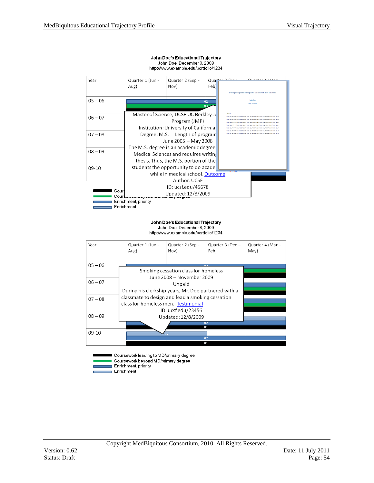| Year                 | Quarter 1 (Jun -                      | Quarter 2 (Sep -                       | Qua  |         | $\cdots$ $A$ $I$ $A$ $A$ $\cdots$                                |
|----------------------|---------------------------------------|----------------------------------------|------|---------|------------------------------------------------------------------|
|                      | Aug)                                  | Nov)                                   | Feb) |         |                                                                  |
|                      |                                       |                                        |      |         | Evolving Management Strategies for Children with Type 1 Diabetes |
| $05 - 06$            |                                       |                                        | 02   |         | <b>John Doe</b><br>May 5, 2008                                   |
|                      |                                       |                                        |      |         |                                                                  |
|                      |                                       | Master of Science, UCSF UC Berkley Jo  |      | skales! |                                                                  |
| $06 - 07$            |                                       | Program (JMP)                          |      |         |                                                                  |
|                      |                                       | Institution: University of California, |      |         |                                                                  |
| $07 - 08$            | Degree: M.S. Length of program        |                                        |      |         |                                                                  |
|                      | June 2005 - May 2008                  |                                        |      |         |                                                                  |
|                      | The M.S. degree is an academic degree |                                        |      |         |                                                                  |
| $08 - 09$            | Medical Sciences and requires writing |                                        |      |         |                                                                  |
|                      | thesis. Thus, the M.S. portion of the |                                        |      |         |                                                                  |
| 09-10                | students the opportunity to do acade  |                                        |      |         |                                                                  |
|                      |                                       | while in medical school. Outcome       |      |         |                                                                  |
|                      |                                       | Author: UCSF                           |      |         |                                                                  |
|                      |                                       | ID: ucsf.edu/45678                     |      |         |                                                                  |
| Cour<br>Court        | Updated: 12/8/2009                    |                                        |      |         |                                                                  |
| Enrichment, priority |                                       |                                        |      |         |                                                                  |
| Enrichment           |                                       |                                        |      |         |                                                                  |

#### John Doe's Educational Trajectory John Doe, December 8, 2009<br>http://www.example.edu/portfolio/1234

John Doe's Educational Trajectory John Doe, December 8, 2009<br>http://www.example.edu/portfolio/1234

| Year      |                                                  | Quarter 1 (Jun -<br>Aug)                                       | Quarter 2 (Sep -<br>Nov)             | Quarter 3 (Dec -<br>Feb) | Quarter 4 (Mar -<br>Mav |
|-----------|--------------------------------------------------|----------------------------------------------------------------|--------------------------------------|--------------------------|-------------------------|
| $05 - 06$ |                                                  |                                                                |                                      | $\sim$                   |                         |
|           |                                                  |                                                                | Smoking cessation class for homeless |                          |                         |
|           |                                                  |                                                                | June 2008 - November 2009            |                          |                         |
| $06 - 07$ |                                                  |                                                                |                                      |                          |                         |
|           |                                                  | Unpaid<br>During his clerkship years, Mr. Doe partnered with a |                                      |                          |                         |
|           |                                                  |                                                                |                                      |                          |                         |
| $07 - 08$ | classmate to design and lead a smoking cessation |                                                                |                                      |                          |                         |
|           | class for homeless men. Testimonial              |                                                                |                                      |                          |                         |
|           | ID: ucsf.edu/23456                               |                                                                |                                      |                          |                         |
| $08 - 09$ | Updated: 12/8/2009                               |                                                                |                                      |                          |                         |
|           | 0 <sub>2</sub>                                   |                                                                |                                      |                          |                         |
|           |                                                  |                                                                | 01                                   |                          |                         |
| 09-10     |                                                  |                                                                |                                      |                          |                         |
| 02        |                                                  |                                                                |                                      |                          |                         |
|           |                                                  |                                                                | 01                                   |                          |                         |
|           |                                                  |                                                                |                                      |                          |                         |

Coursework leading to MD/primary degree Coursework beyond MD/primary degree ä, Enrichment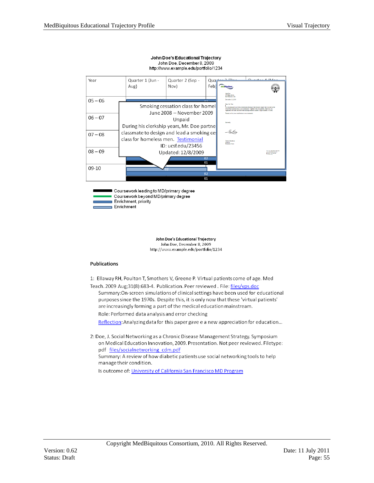

#### John Doe's Educational Trajectory John Doe, December 8, 2009

Coursework leading to MD/primary degree Coursework beyond MD/primary degree Enrichment, priority Enrichment

> John Doe's Educational Trajectory John Doe, December 8, 2009 http://www.example.edu/portfolio/1234

#### **Publications**

1: Ellaway RH, Poulton T, Smothers V, Greene P. Virtual patients come of age. Med

Teach. 2009 Aug;31(8):683-4. Publication. Peer reviewed. File: files/vps.doc Summary: On-screen simulations of clinical settings have been used for educational purposes since the 1970s. Despite this, it is only now that these 'virtual patients' are increasingly forming a part of the medical education mainstream.

Role: Performed data analysis and error checking

Reflection: Analyzing data for this paper gave e a new appreciation for education...

2: Doe, J. Social Networking as a Chronic Disease Management Strategy. Symposium on Medical Education Innovation, 2009. Presentation. Not peer reviewed. Filetype: pdf files/socialnetworking cdm.pdf Summary: A review of how diabetic patients use social networking tools to help manage their condition.

Is outcome of: University of California San Francisco MD Program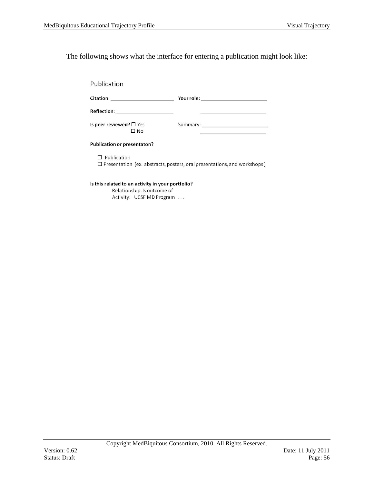The following shows what the interface for entering a publication might look like:

| Publication                                                                                           |                                                                                                                        |  |  |  |
|-------------------------------------------------------------------------------------------------------|------------------------------------------------------------------------------------------------------------------------|--|--|--|
|                                                                                                       | <b>Citation: Controllering Service Citation:</b> Pour role:                                                            |  |  |  |
| Reflection:_____________________                                                                      |                                                                                                                        |  |  |  |
| Is peer reviewed? $\square$ Yes<br>$\Box$ No                                                          | <u> De Carlos de Carlos de Carlos de Carlos de Carlos de Carlos de Carlos de Carlos de Carlos de Carlos de Carlos </u> |  |  |  |
| Publication or presentaton?                                                                           |                                                                                                                        |  |  |  |
| $\Box$ Publication<br>$\Box$ Presentation (ex. abstracts, posters, oral presentations, and workshops) |                                                                                                                        |  |  |  |
| Is this related to an activity in your portfolio?                                                     |                                                                                                                        |  |  |  |

Relationship: Is outcome of Activity: UCSF MD Program ...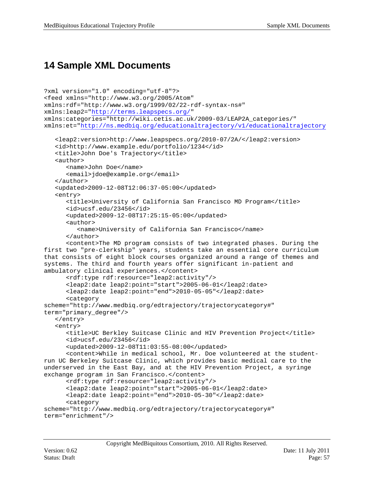# <span id="page-56-0"></span>**14 Sample XML Documents**

```
?xml version="1.0" encoding="utf-8"?>
<feed xmlns="http://www.w3.org/2005/Atom" 
xmlns:rdf="http://www.w3.org/1999/02/22-rdf-syntax-ns#" 
xmlns:leap2="http://terms.leapspecs.org/"
xmlns:categories="http://wiki.cetis.ac.uk/2009-03/LEAP2A_categories/" 
xmlns:et="http://ns.medbiq.org/educationaltrajectory/v1/educationaltrajectory
   <leap2:version>http://www.leapspecs.org/2010-07/2A/</leap2:version>
   <id>http://www.example.edu/portfolio/1234</id>
   <title>John Doe's Trajectory</title>
   <author>
      <name>John Doe</name>
      <email>jdoe@example.org</email>
   </author>
   <updated>2009-12-08T12:06:37-05:00</updated>
   <entry>
      <title>University of California San Francisco MD Program</title>
      <id>ucsf.edu/23456</id>
      <updated>2009-12-08T17:25:15-05:00</updated>
      <author>
         <name>University of California San Francisco</name>
      </author>
      <content>The MD program consists of two integrated phases. During the 
first two "pre-clerkship" years, students take an essential core curriculum 
that consists of eight block courses organized around a range of themes and 
systems. The third and fourth years offer significant in-patient and 
ambulatory clinical experiences.</content>
      <rdf:type rdf:resource="leap2:activity"/>
      <leap2:date leap2:point="start">2005-06-01</leap2:date>
      <leap2:date leap2:point="end">2010-05-05"</leap2:date>
      <category 
scheme="http://www.medbiq.org/edtrajectory/trajectorycategory#" 
term="primary_degree"/>
   </entry>
   <entry>
      <title>UC Berkley Suitcase Clinic and HIV Prevention Project</title>
      <id>ucsf.edu/23456</id>
      <updated>2009-12-08T11:03:55-08:00</updated>
      <content>While in medical school, Mr. Doe volunteered at the student-
run UC Berkeley Suitcase Clinic, which provides basic medical care to the 
underserved in the East Bay, and at the HIV Prevention Project, a syringe 
exchange program in San Francisco.</content>
      <rdf:type rdf:resource="leap2:activity"/>
      <leap2:date leap2:point="start">2005-06-01</leap2:date>
      <leap2:date leap2:point="end">2010-05-30"</leap2:date>
      <category 
scheme="http://www.medbiq.org/edtrajectory/trajectorycategory#" 
term="enrichment"/>
```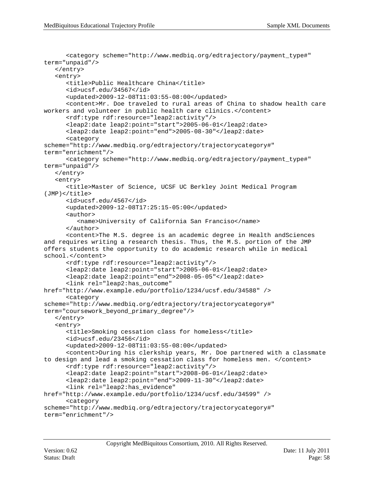```
<category scheme="http://www.medbiq.org/edtrajectory/payment_type#" 
term="unpaid"/>
   </entry>
   <entry>
      <title>Public Healthcare China</title>
      <id>ucsf.edu/34567</id>
      <updated>2009-12-08T11:03:55-08:00</updated>
      <content>Mr. Doe traveled to rural areas of China to shadow health care 
workers and volunteer in public health care clinics.</content>
      <rdf:type rdf:resource="leap2:activity"/>
      <leap2:date leap2:point="start">2005-06-01</leap2:date>
      <leap2:date leap2:point="end">2005-08-30"</leap2:date>
      <category 
scheme="http://www.medbiq.org/edtrajectory/trajectorycategory#" 
term="enrichment"/>
      <category scheme="http://www.medbiq.org/edtrajectory/payment_type#" 
term="unpaid"/>
   </entry>
   <entry>
      <title>Master of Science, UCSF UC Berkley Joint Medical Program 
(JMP)</title>
      <id>ucsf.edu/4567</id>
      <updated>2009-12-08T17:25:15-05:00</updated>
      <author>
         <name>University of California San Franciso</name>
      </author>
      <content>The M.S. degree is an academic degree in Health andSciences 
and requires writing a research thesis. Thus, the M.S. portion of the JMP 
offers students the opportunity to do academic research while in medical 
school.</content>
      <rdf:type rdf:resource="leap2:activity"/>
      <leap2:date leap2:point="start">2005-06-01</leap2:date>
      <leap2:date leap2:point="end">2008-05-05"</leap2:date>
      <link rel="leap2:has_outcome" 
href="http://www.example.edu/portfolio/1234/ucsf.edu/34588" />
      <category 
scheme="http://www.medbiq.org/edtrajectory/trajectorycategory#" 
term="coursework_beyond_primary_degree"/>
   </entry>
   <entry>
      <title>Smoking cessation class for homeless</title>
      <id>ucsf.edu/23456</id>
      <updated>2009-12-08T11:03:55-08:00</updated>
      <content>During his clerkship years, Mr. Doe partnered with a classmate 
to design and lead a smoking cessation class for homeless men. </content>
      <rdf:type rdf:resource="leap2:activity"/>
      <leap2:date leap2:point="start">2008-06-01</leap2:date>
      <leap2:date leap2:point="end">2009-11-30"</leap2:date>
      <link rel="leap2:has_evidence" 
href="http://www.example.edu/portfolio/1234/ucsf.edu/34599" />
      <category 
scheme="http://www.medbiq.org/edtrajectory/trajectorycategory#" 
term="enrichment"/>
```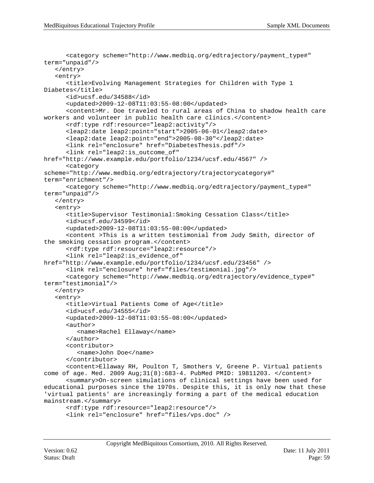```
<category scheme="http://www.medbiq.org/edtrajectory/payment_type#" 
term="unpaid"/>
   </entry>
   <entry>
      <title>Evolving Management Strategies for Children with Type 1 
Diabetes</title>
      <id>ucsf.edu/34588</id>
      <updated>2009-12-08T11:03:55-08:00</updated>
      <content>Mr. Doe traveled to rural areas of China to shadow health care 
workers and volunteer in public health care clinics.</content>
      <rdf:type rdf:resource="leap2:activity"/>
      <leap2:date leap2:point="start">2005-06-01</leap2:date>
      <leap2:date leap2:point="end">2005-08-30"</leap2:date>
      <link rel="enclosure" href="DiabetesThesis.pdf"/>
      <link rel="leap2:is_outcome_of" 
href="http://www.example.edu/portfolio/1234/ucsf.edu/4567" />
      <category 
scheme="http://www.medbiq.org/edtrajectory/trajectorycategory#" 
term="enrichment"/>
      <category scheme="http://www.medbiq.org/edtrajectory/payment_type#" 
term="unpaid"/>
   </entry>
   <entry>
      <title>Supervisor Testimonial:Smoking Cessation Class</title>
      <id>ucsf.edu/34599</id>
      <updated>2009-12-08T11:03:55-08:00</updated>
      <content >This is a written testimonial from Judy Smith, director of 
the smoking cessation program.</content>
      <rdf:type rdf:resource="leap2:resource"/>
      <link rel="leap2:is_evidence_of" 
href="http://www.example.edu/portfolio/1234/ucsf.edu/23456" />
      <link rel="enclosure" href="files/testimonial.jpg"/>
      <category scheme="http://www.medbiq.org/edtrajectory/evidence_type#" 
term="testimonial"/>
   </entry>
   <entry>
      <title>Virtual Patients Come of Age</title>
      <id>ucsf.edu/34555</id>
      <updated>2009-12-08T11:03:55-08:00</updated>
      <author>
         <name>Rachel Ellaway</name>
      </author>
      <contributor>
         <name>John Doe</name>
      </contributor>
      <content>Ellaway RH, Poulton T, Smothers V, Greene P. Virtual patients 
come of age. Med. 2009 Aug;31(8):683-4. PubMed PMID: 19811203. </content>
      <summary>On-screen simulations of clinical settings have been used for 
educational purposes since the 1970s. Despite this, it is only now that these 
'virtual patients' are increasingly forming a part of the medical education 
mainstream.</summary>
      <rdf:type rdf:resource="leap2:resource"/>
      <link rel="enclosure" href="files/vps.doc" />
```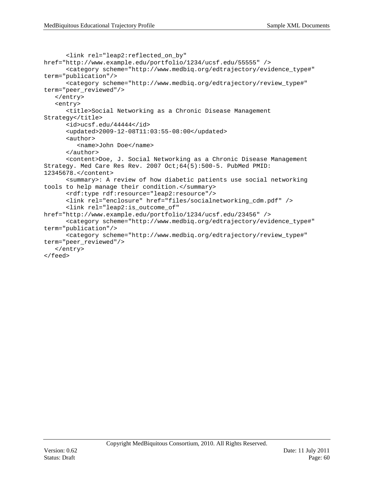```
<link rel="leap2:reflected_on_by" 
href="http://www.example.edu/portfolio/1234/ucsf.edu/55555" />
      <category scheme="http://www.medbiq.org/edtrajectory/evidence_type#" 
term="publication"/>
      <category scheme="http://www.medbiq.org/edtrajectory/review_type#" 
term="peer_reviewed"/>
   </entry>
   <entry>
      <title>Social Networking as a Chronic Disease Management 
Strategy</title>
      <id>ucsf.edu/44444</id>
      <updated>2009-12-08T11:03:55-08:00</updated>
      <author>
         <name>John Doe</name>
      </author>
      <content>Doe, J. Social Networking as a Chronic Disease Management 
Strategy. Med Care Res Rev. 2007 Oct;64(5):500-5. PubMed PMID: 
12345678.</content>
      <summary>: A review of how diabetic patients use social networking 
tools to help manage their condition.</summary>
      <rdf:type rdf:resource="leap2:resource"/>
      <link rel="enclosure" href="files/socialnetworking_cdm.pdf" />
      <link rel="leap2:is_outcome_of" 
href="http://www.example.edu/portfolio/1234/ucsf.edu/23456" />
      <category scheme="http://www.medbiq.org/edtrajectory/evidence_type#" 
term="publication"/>
      <category scheme="http://www.medbiq.org/edtrajectory/review_type#" 
term="peer_reviewed"/>
   </entry>
</feed>
```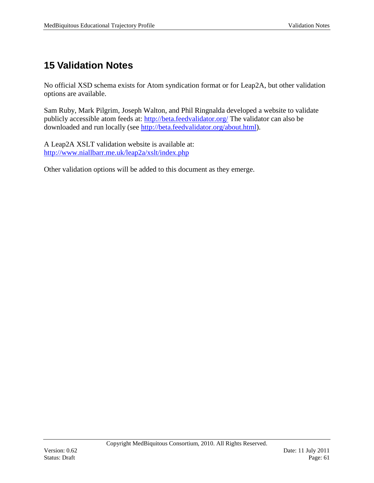# <span id="page-60-0"></span>**15 Validation Notes**

No official XSD schema exists for Atom syndication format or for Leap2A, but other validation options are available.

Sam Ruby, Mark Pilgrim, Joseph Walton, and Phil Ringnalda developed a website to validate publicly accessible atom feeds at:<http://beta.feedvalidator.org/> The validator can also be downloaded and run locally (see [http://beta.feedvalidator.org/about.html\)](http://beta.feedvalidator.org/about.html).

A Leap2A XSLT validation website is available at: <http://www.niallbarr.me.uk/leap2a/xslt/index.php>

Other validation options will be added to this document as they emerge.